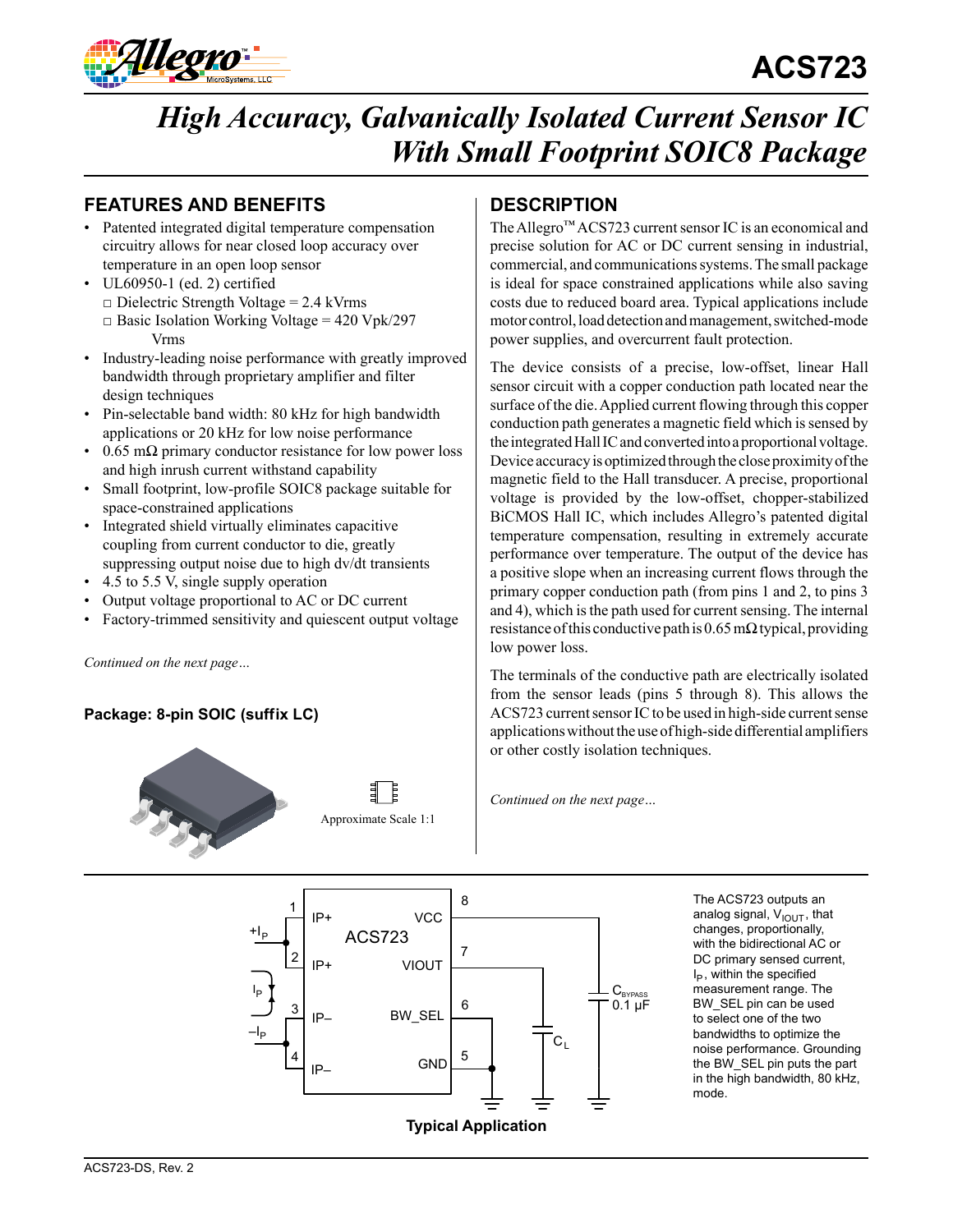

# **ACS723**

# *High Accuracy, Galvanically Isolated Current Sensor IC With Small Footprint SOIC8 Package*

## **FEATURES AND BENEFITS DESCRIPTION**

- Patented integrated digital temperature compensation circuitry allows for near closed loop accuracy over temperature in an open loop sensor
- UL60950-1 (ed. 2) certified  $\Box$  Dielectric Strength Voltage = 2.4 kVrms  $\Box$  Basic Isolation Working Voltage = 420 Vpk/297 Vrms
- Industry-leading noise performance with greatly improved bandwidth through proprietary amplifier and filter design techniques
- Pin-selectable band width: 80 kHz for high bandwidth applications or 20 kHz for low noise performance
- 0.65 m $\Omega$  primary conductor resistance for low power loss and high inrush current withstand capability
- Small footprint, low-profile SOIC8 package suitable for space-constrained applications
- Integrated shield virtually eliminates capacitive coupling from current conductor to die, greatly suppressing output noise due to high dv/dt transients
- 4.5 to 5.5 V, single supply operation
- Output voltage proportional to AC or DC current
- Factory-trimmed sensitivity and quiescent output voltage

*Continued on the next page…*

#### Package: 8-pin SOIC (suffix LC)





The Allegro™ ACS723 current sensor IC is an economical and precise solution for AC or DC current sensing in industrial, commercial, and communications systems. The small package is ideal for space constrained applications while also saving costs due to reduced board area. Typical applications include motor control, load detection and management, switched-mode power supplies, and overcurrent fault protection.

The device consists of a precise, low-offset, linear Hall sensor circuit with a copper conduction path located near the surface of the die. Applied current flowing through this copper conduction path generates a magnetic field which is sensed by the integrated Hall IC and converted into a proportional voltage. Device accuracy is optimized through the close proximity of the magnetic field to the Hall transducer. A precise, proportional voltage is provided by the low-offset, chopper-stabilized BiCMOS Hall IC, which includes Allegro's patented digital temperature compensation, resulting in extremely accurate performance over temperature. The output of the device has a positive slope when an increasing current flows through the primary copper conduction path (from pins 1 and 2, to pins 3 and 4), which is the path used for current sensing. The internal resistance of this conductive path is  $0.65$  m $\Omega$  typical, providing low power loss.

The terminals of the conductive path are electrically isolated from the sensor leads (pins 5 through 8). This allows the ACS723 current sensor IC to be used in high-side current sense applications without the use of high-side differential amplifiers or other costly isolation techniques.

*Continued on the next page…*



The ACS723 outputs an analog signal,  $V_{\text{IOUT}}$ , that changes, proportionally, with the bidirectional AC or DC primary sensed current,  $I_P$ , within the specified measurement range. The BW\_SEL pin can be used to select one of the two bandwidths to optimize the noise performance. Grounding the BW\_SEL pin puts the part in the high bandwidth, 80 kHz, mode.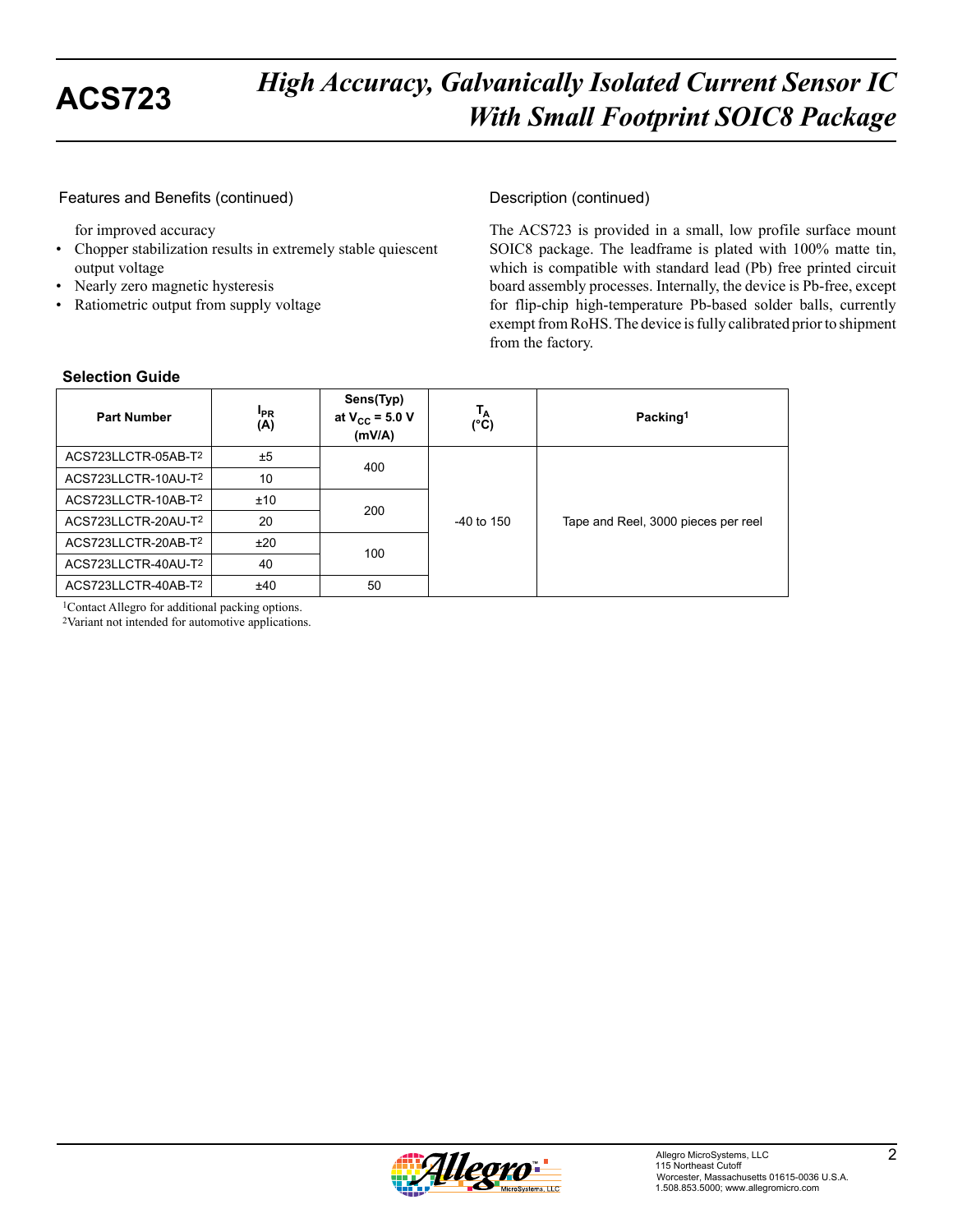#### Features and Benefits (continued)

for improved accuracy

- Chopper stabilization results in extremely stable quiescent output voltage
- Nearly zero magnetic hysteresis
- Ratiometric output from supply voltage

#### Description (continued)

The ACS723 is provided in a small, low profile surface mount SOIC8 package. The leadframe is plated with 100% matte tin, which is compatible with standard lead (Pb) free printed circuit board assembly processes. Internally, the device is Pb-free, except for flip-chip high-temperature Pb-based solder balls, currently exempt from RoHS. The device is fully calibrated prior to shipment from the factory.

| <b>Part Number</b>  | <b>I<sub>PR</sub></b><br>(A) | Sens(Typ)<br>at $V_{CC}$ = 5.0 V<br>(mV/A) | Тд<br>$(^{\circ}C)$ | Packing <sup>1</sup>                |
|---------------------|------------------------------|--------------------------------------------|---------------------|-------------------------------------|
| ACS723LLCTR-05AB-T2 | ±5                           | 400                                        |                     |                                     |
| ACS723LLCTR-10AU-T2 | 10                           |                                            | $-40$ to 150        |                                     |
| ACS723LLCTR-10AB-T2 | ±10                          | 200                                        |                     |                                     |
| ACS723LLCTR-20AU-T2 | 20                           |                                            |                     | Tape and Reel, 3000 pieces per reel |
| ACS723LLCTR-20AB-T2 | ±20                          | 100                                        |                     |                                     |
| ACS723LLCTR-40AU-T2 | 40                           |                                            |                     |                                     |
| ACS723LLCTR-40AB-T2 | ±40                          | 50                                         |                     |                                     |

#### **Selection Guide**

1Contact Allegro for additional packing options.

2Variant not intended for automotive applications.

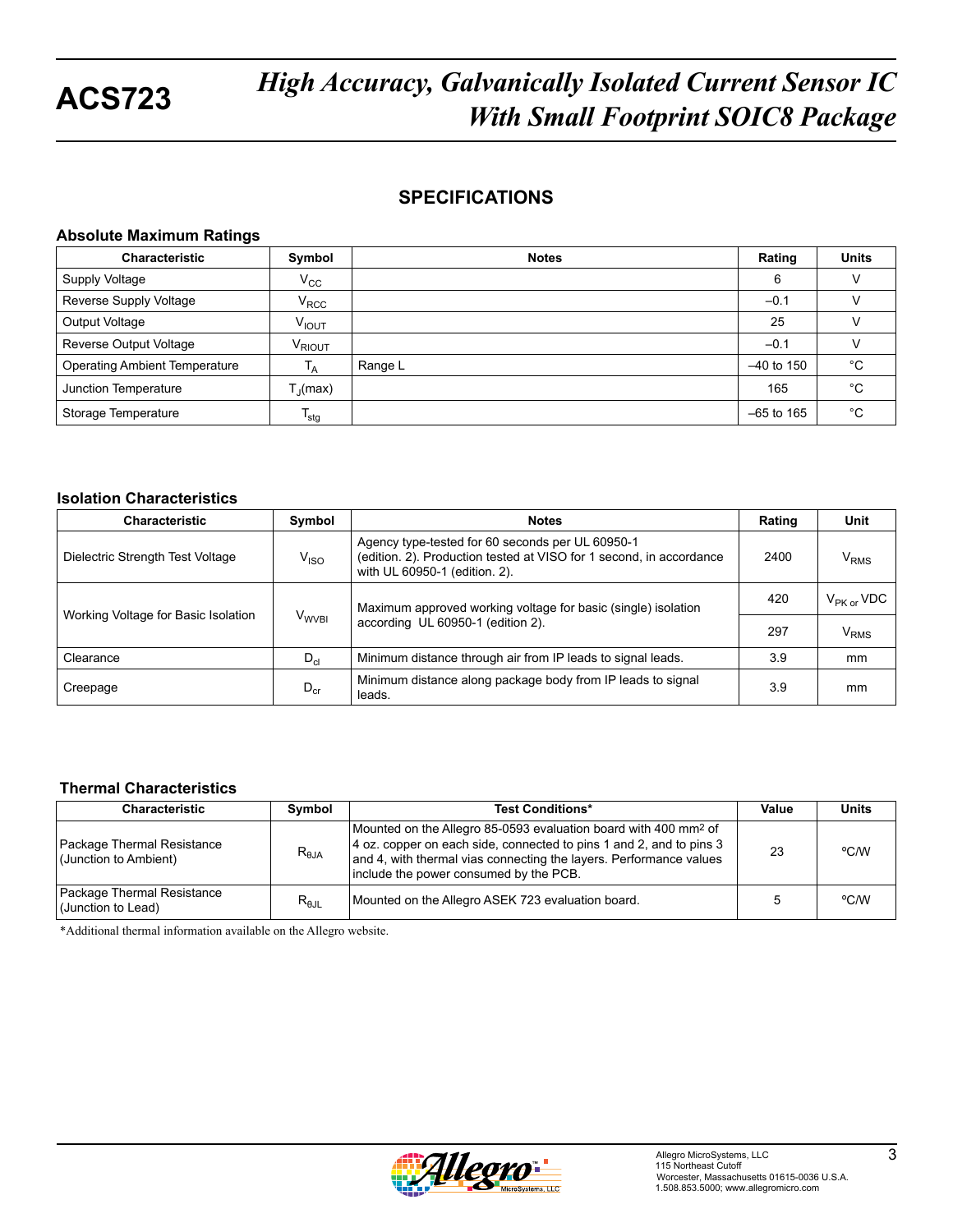## **SPECIFICATIONS**

#### **Absolute Maximum Ratings**

| <b>Characteristic</b>                | Symbol             | <b>Notes</b> | Rating       | <b>Units</b> |
|--------------------------------------|--------------------|--------------|--------------|--------------|
| Supply Voltage                       | $V_{\rm CC}$       |              | 6            |              |
| Reverse Supply Voltage               | $V_{\text{RCC}}$   |              | $-0.1$       |              |
| Output Voltage                       | V <sub>IOUT</sub>  |              | 25           |              |
| Reverse Output Voltage               | V <sub>RIOUT</sub> |              | $-0.1$       |              |
| <b>Operating Ambient Temperature</b> | $I_A$              | Range L      | $-40$ to 150 | °C           |
| Junction Temperature                 | $T_{\rm d}$ (max)  |              | 165          | °C           |
| Storage Temperature                  | $T_{\text{stg}}$   |              | $-65$ to 165 | °C           |

#### **Isolation Characteristics**

| <b>Characteristic</b>               | Symbol                  | <b>Notes</b>                                                                                                                                             | Rating | Unit                   |
|-------------------------------------|-------------------------|----------------------------------------------------------------------------------------------------------------------------------------------------------|--------|------------------------|
| Dielectric Strength Test Voltage    | $V_{\rm ISO}$           | Agency type-tested for 60 seconds per UL 60950-1<br>(edition, 2). Production tested at VISO for 1 second, in accordance<br>with UL 60950-1 (edition. 2). | 2400   | $\rm V_{RMS}$          |
| Working Voltage for Basic Isolation |                         | Maximum approved working voltage for basic (single) isolation                                                                                            | 420    | $\rm V_{PK\,or}\,VDC$  |
|                                     | <b>V<sub>WVBI</sub></b> | according UL 60950-1 (edition 2).                                                                                                                        | 297    | <b>V<sub>RMS</sub></b> |
| Clearance                           | $D_{cl}$                | Minimum distance through air from IP leads to signal leads.                                                                                              | 3.9    | mm                     |
| Creepage                            | $D_{cr}$                | Minimum distance along package body from IP leads to signal<br>leads.                                                                                    | 3.9    | mm                     |

#### **Thermal Characteristics**

| <b>Characteristic</b>                               | Symbol         | <b>Test Conditions*</b>                                                                                                                                                                                                                                            | Value | <b>Units</b> |
|-----------------------------------------------------|----------------|--------------------------------------------------------------------------------------------------------------------------------------------------------------------------------------------------------------------------------------------------------------------|-------|--------------|
| Package Thermal Resistance<br>(Junction to Ambient) | $R_{\theta$ JA | Mounted on the Allegro 85-0593 evaluation board with 400 mm <sup>2</sup> of<br>4 oz. copper on each side, connected to pins 1 and 2, and to pins 3<br>and 4, with thermal vias connecting the layers. Performance values<br>include the power consumed by the PCB. | 23    | °C/W         |
| Package Thermal Resistance<br>(Junction to Lead)    | $R_{\theta$ JL | Mounted on the Allegro ASEK 723 evaluation board.                                                                                                                                                                                                                  |       | °C/W         |

\*Additional thermal information available on the Allegro website.

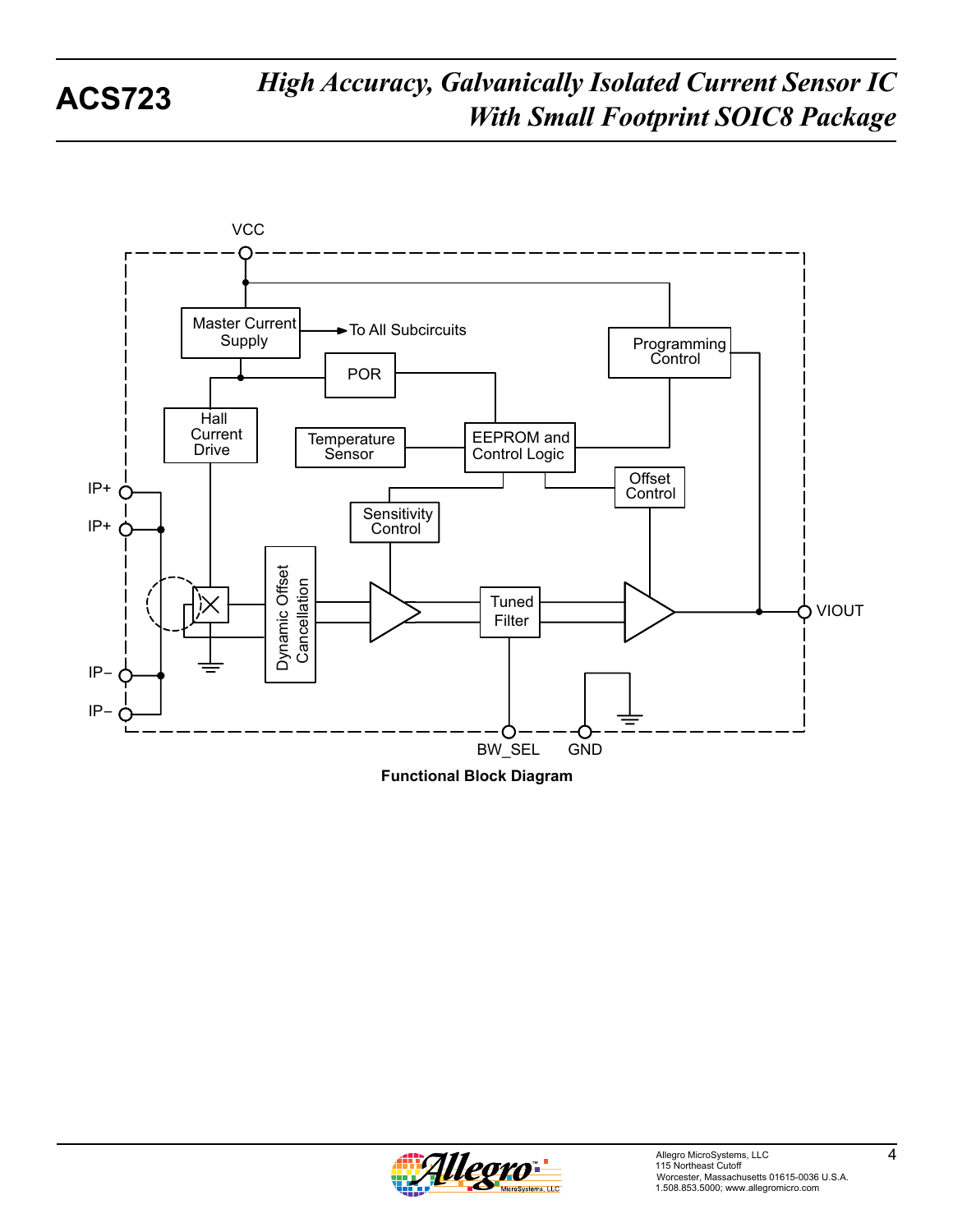

**Functional Block Diagram**

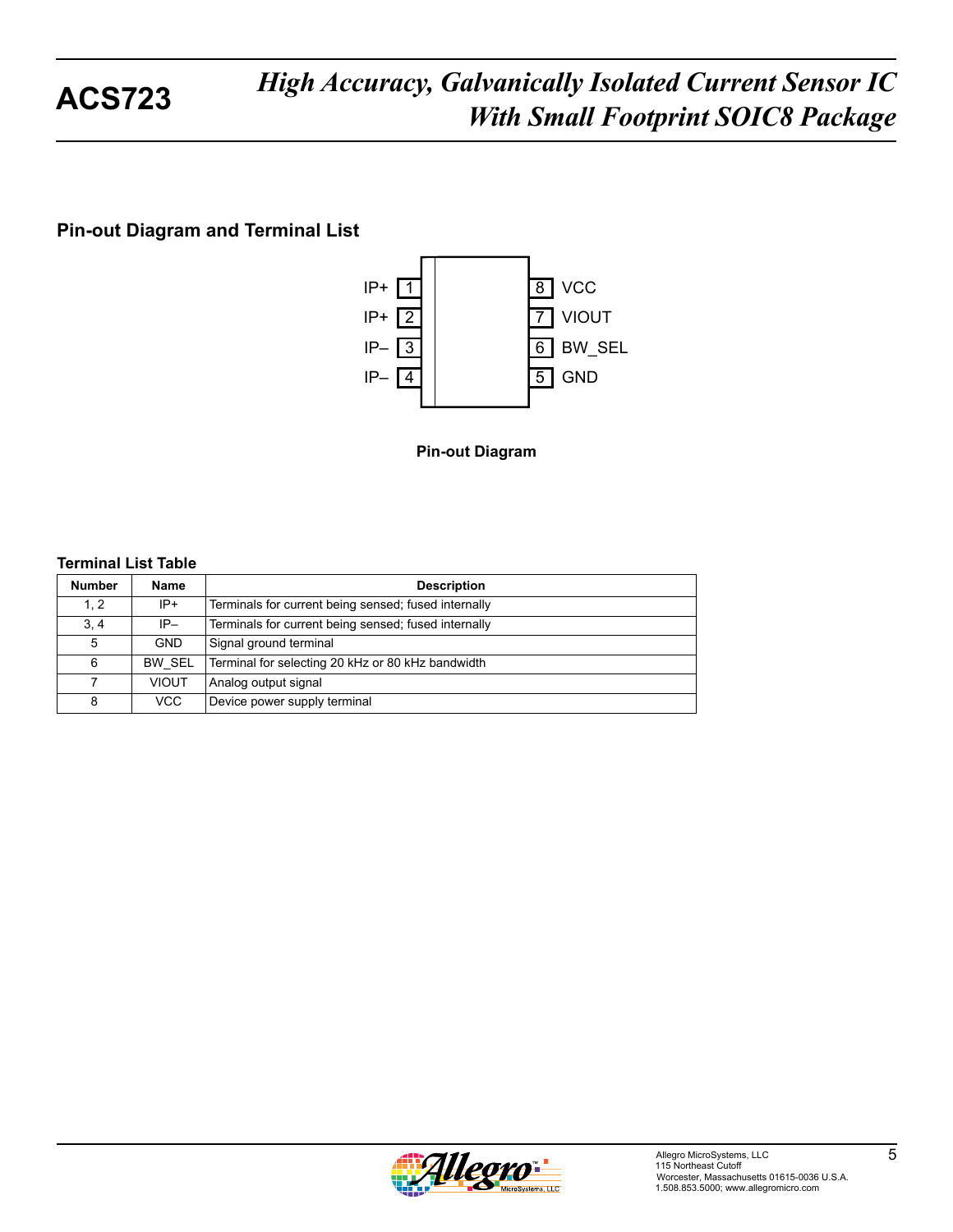## **Pin-out Diagram and Terminal List**



**Pin-out Diagram**

#### **Terminal List Table**

| <b>Number</b> | <b>Name</b>   | <b>Description</b>                                   |
|---------------|---------------|------------------------------------------------------|
| 1.2           | $IP+$         | Terminals for current being sensed; fused internally |
| 3, 4          | $IP-$         | Terminals for current being sensed; fused internally |
| 5             | <b>GND</b>    | Signal ground terminal                               |
| 6             | <b>BW SEL</b> | Terminal for selecting 20 kHz or 80 kHz bandwidth    |
| 7             | <b>VIOUT</b>  | Analog output signal                                 |
| 8             | VCC           | Device power supply terminal                         |

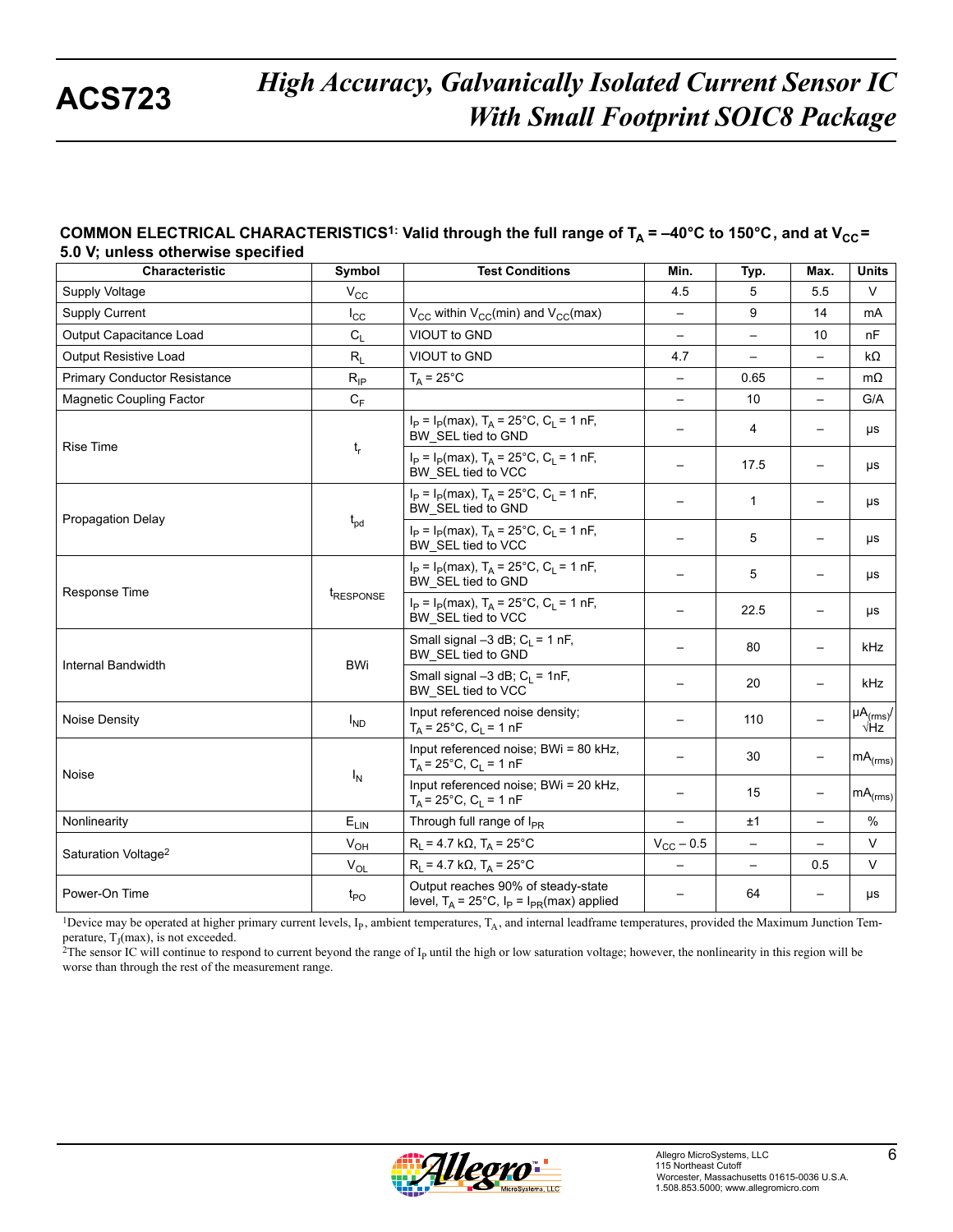#### COMMON ELECTRICAL CHARACTERISTICS<sup>1:</sup> Valid through the full range of  $T_A = -40^{\circ}$ C to 150°C, and at V<sub>CC</sub>= **5.0 V; unless otherwise specif ied**

| <b>Characteristic</b>               | <b>Symbol</b>         | <b>Test Conditions</b>                                                                         | Min.                     | Typ.                     | Max.                     | <b>Units</b>                            |
|-------------------------------------|-----------------------|------------------------------------------------------------------------------------------------|--------------------------|--------------------------|--------------------------|-----------------------------------------|
| Supply Voltage                      | $V_{\rm CC}$          |                                                                                                | 4.5                      | 5                        | 5.5                      | $\vee$                                  |
| <b>Supply Current</b>               | $I_{\rm CC}$          | $V_{CC}$ within $V_{CC}$ (min) and $V_{CC}$ (max)                                              | $\qquad \qquad -$        | 9                        | 14                       | mA                                      |
| Output Capacitance Load             | $C_{L}$               | VIOUT to GND                                                                                   |                          |                          | 10                       | nF                                      |
| Output Resistive Load               | $R_L$                 | VIOUT to GND                                                                                   | 4.7                      | $\overline{\phantom{0}}$ | $\overline{\phantom{0}}$ | kΩ                                      |
| <b>Primary Conductor Resistance</b> | $R_{IP}$              | $T_A = 25^{\circ}C$                                                                            |                          | 0.65                     |                          | $m\Omega$                               |
| <b>Magnetic Coupling Factor</b>     | $C_F$                 |                                                                                                | $\qquad \qquad -$        | 10                       | $\qquad \qquad -$        | G/A                                     |
|                                     |                       | $I_P = I_P(max)$ , $T_A = 25^{\circ}C$ , $C_I = 1$ nF,<br>BW SEL tied to GND                   |                          | 4                        | $\qquad \qquad -$        | μs                                      |
| <b>Rise Time</b>                    | $t_r$                 | $I_P = I_P(max)$ , $T_A = 25^{\circ}C$ , $C_L = 1$ nF,<br>BW SEL tied to VCC                   | $\overline{\phantom{0}}$ | 17.5                     |                          | μs                                      |
|                                     |                       | $I_P = I_P(max)$ , $T_A = 25^{\circ}C$ , $C_L = 1$ nF,<br>BW SEL tied to GND                   |                          | $\mathbf{1}$             |                          | μs                                      |
| <b>Propagation Delay</b>            | $t_{pd}$              | $I_P = I_P(max)$ , $T_A = 25^{\circ}C$ , $C_L = 1$ nF,<br>BW_SEL tied to VCC                   |                          | 5                        |                          | μs                                      |
|                                     | t <sub>RESPONSE</sub> | $I_P = I_P(max)$ , $T_A = 25^{\circ}C$ , $C_L = 1$ nF,<br>BW_SEL tied to GND                   |                          | 5                        |                          | μs                                      |
| Response Time                       |                       | $I_P = I_P(max), T_A = 25^{\circ}C, C_L = 1 nF,$<br>BW_SEL tied to VCC                         |                          | 22.5                     |                          | μs                                      |
| Internal Bandwidth                  |                       | Small signal $-3$ dB; C <sub>1</sub> = 1 nF,<br>BW_SEL tied to GND                             |                          | 80                       |                          | kHz                                     |
|                                     | <b>BWi</b>            | Small signal $-3$ dB; C <sub>1</sub> = 1nF,<br>BW SEL tied to VCC                              |                          | 20                       |                          | kHz.                                    |
| Noise Density                       | $I_{ND}$              | Input referenced noise density;<br>$T_A = 25^{\circ}C$ , $C_L = 1$ nF                          | $\overline{\phantom{0}}$ | 110                      |                          | $\mu A_{\text{(rms)}}$ /<br>$\sqrt{Hz}$ |
|                                     |                       | Input referenced noise; BWi = 80 kHz,<br>$T_A = 25^{\circ}$ C, C <sub>L</sub> = 1 nF           |                          | 30                       | $\qquad \qquad -$        | mA <sub>(rms)</sub>                     |
| Noise                               | $I_N$                 | Input referenced noise; BWi = 20 kHz,<br>$T_A = 25^{\circ}$ C, C <sub>L</sub> = 1 nF           |                          | 15                       |                          | mA <sub>(rms)</sub>                     |
| Nonlinearity                        | $E_{LIN}$             | Through full range of $I_{PR}$                                                                 |                          | ±1                       | $\qquad \qquad -$        | %                                       |
|                                     | $V_{OH}$              | $R_L$ = 4.7 k $\Omega$ , T <sub>A</sub> = 25°C                                                 | $V_{\text{CC}}$ – 0.5    | $\overline{\phantom{0}}$ | $\overline{\phantom{0}}$ | V                                       |
| Saturation Voltage <sup>2</sup>     | $\rm V_{OL}$          | $R_1$ = 4.7 kΩ, T <sub>A</sub> = 25°C                                                          |                          |                          | 0.5                      | $\vee$                                  |
| Power-On Time                       | $t_{PO}$              | Output reaches 90% of steady-state<br>level, $T_A = 25^{\circ}C$ , $I_P = I_{PR}(max)$ applied | $\overline{\phantom{0}}$ | 64                       | $\overline{\phantom{0}}$ | μs                                      |

<sup>1</sup>Device may be operated at higher primary current levels,  $I<sub>P</sub>$ , ambient temperatures,  $T<sub>A</sub>$ , and internal leadframe temperatures, provided the Maximum Junction Tem-<br>perature,  $T<sub>J</sub>(max)$ , is not exceeded.

<sup>2</sup>The sensor IC will continue to respond to current beyond the range of  $I<sub>P</sub>$  until the high or low saturation voltage; however, the nonlinearity in this region will be worse than through the rest of the measurement range.

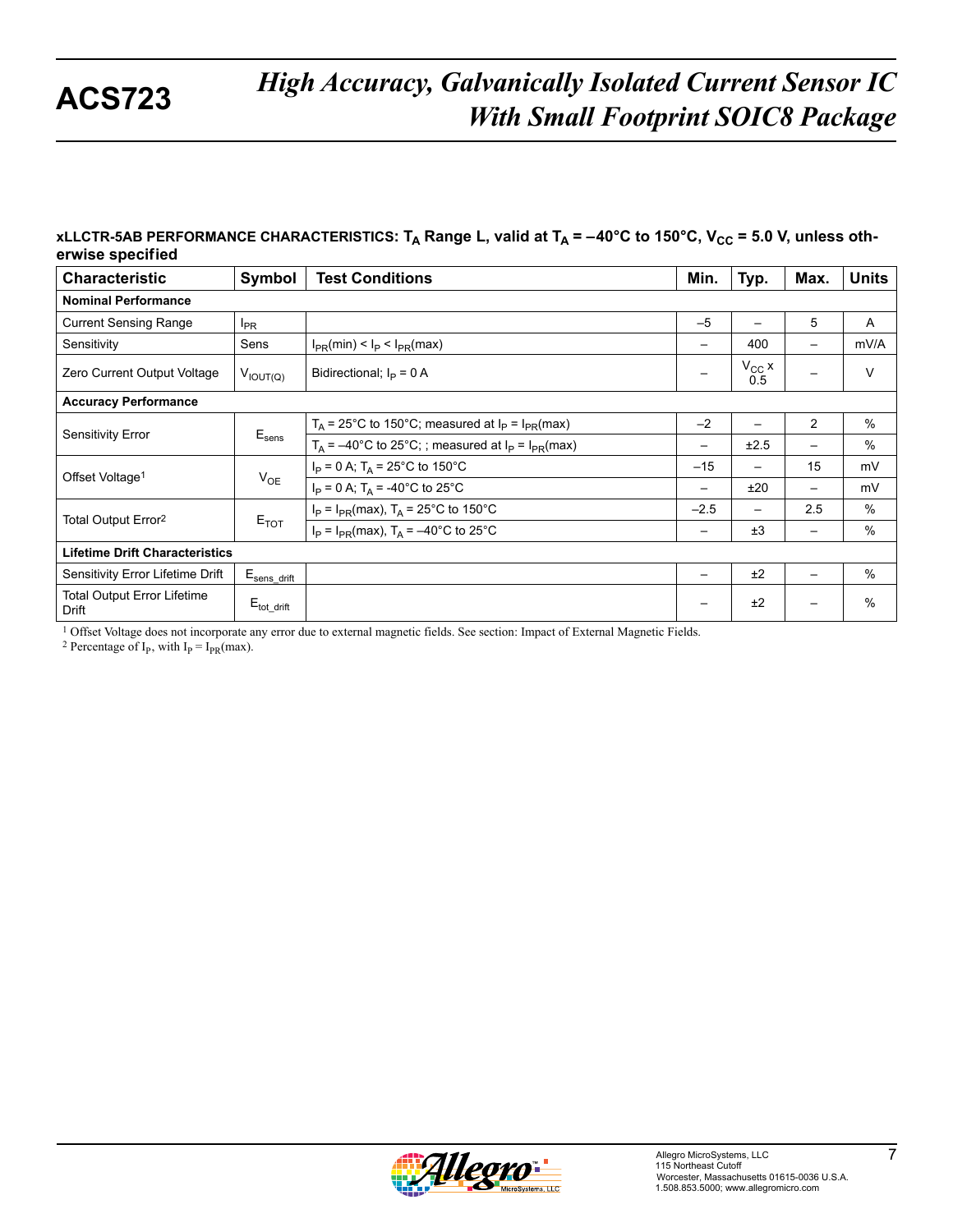#### xLLCTR-5AB PERFORMANCE CHARACTERISTICS: T<sub>A</sub> Range L, valid at T<sub>A</sub> = -40°C to 150°C, V<sub>CC</sub> = 5.0 V, unless oth**erwise specif ied**

| <b>Characteristic</b>                       | Symbol                  | <b>Test Conditions</b>                                    | Min.                     | Typ.              | Max.            | <b>Units</b> |  |  |  |
|---------------------------------------------|-------------------------|-----------------------------------------------------------|--------------------------|-------------------|-----------------|--------------|--|--|--|
| <b>Nominal Performance</b>                  |                         |                                                           |                          |                   |                 |              |  |  |  |
| <b>Current Sensing Range</b>                | $I_{PR}$                |                                                           | $-5$                     |                   | 5               | A            |  |  |  |
| Sensitivity                                 | Sens                    | $I_{PR}(min) < I_P < I_{PR}(max)$                         | $\overline{\phantom{m}}$ | 400               | -               | mV/A         |  |  |  |
| Zero Current Output Voltage                 | $V_{IOUT(Q)}$           | Bidirectional; $I_P = 0$ A                                |                          | $V_{CC}$ x<br>0.5 |                 | $\vee$       |  |  |  |
| <b>Accuracy Performance</b>                 |                         |                                                           |                          |                   |                 |              |  |  |  |
| Sensitivity Error                           | $E_{\text{sens}}$       | $T_A$ = 25°C to 150°C; measured at $I_P$ = $I_{PR}$ (max) | $-2$                     |                   | $\overline{2}$  | $\%$         |  |  |  |
|                                             |                         | $T_A$ = -40°C to 25°C; ; measured at $I_P = I_{PR}$ (max) | $\overline{\phantom{m}}$ | ±2.5              | $\qquad \qquad$ | $\%$         |  |  |  |
| Offset Voltage <sup>1</sup>                 |                         | $I_P = 0$ A; $T_A = 25^{\circ}$ C to 150°C                | $-15$                    |                   | 15              | mV           |  |  |  |
|                                             | $V_{OE}$                | $I_P = 0$ A; $T_A = -40^{\circ}$ C to 25°C                | -                        | ±20               |                 | mV           |  |  |  |
| Total Output Error <sup>2</sup>             |                         | $I_P = I_{PR}$ (max), $T_A = 25^{\circ}$ C to 150°C       | $-2.5$                   | $\qquad \qquad$   | 2.5             | $\%$         |  |  |  |
|                                             | $E_{TOT}$               | $I_P = I_{PR}$ (max), $T_A = -40^{\circ}$ C to 25°C       | -                        | ±3                | $\qquad \qquad$ | %            |  |  |  |
| <b>Lifetime Drift Characteristics</b>       |                         |                                                           |                          |                   |                 |              |  |  |  |
| Sensitivity Error Lifetime Drift            | $E_{\rm sens\_drift}$   |                                                           | —                        | ±2                |                 | $\%$         |  |  |  |
| <b>Total Output Error Lifetime</b><br>Drift | $E_{\text{tot\_drift}}$ |                                                           |                          | ±2                |                 | $\%$         |  |  |  |

1 Offset Voltage does not incorporate any error due to external magnetic fields. See section: Impact of External Magnetic Fields.

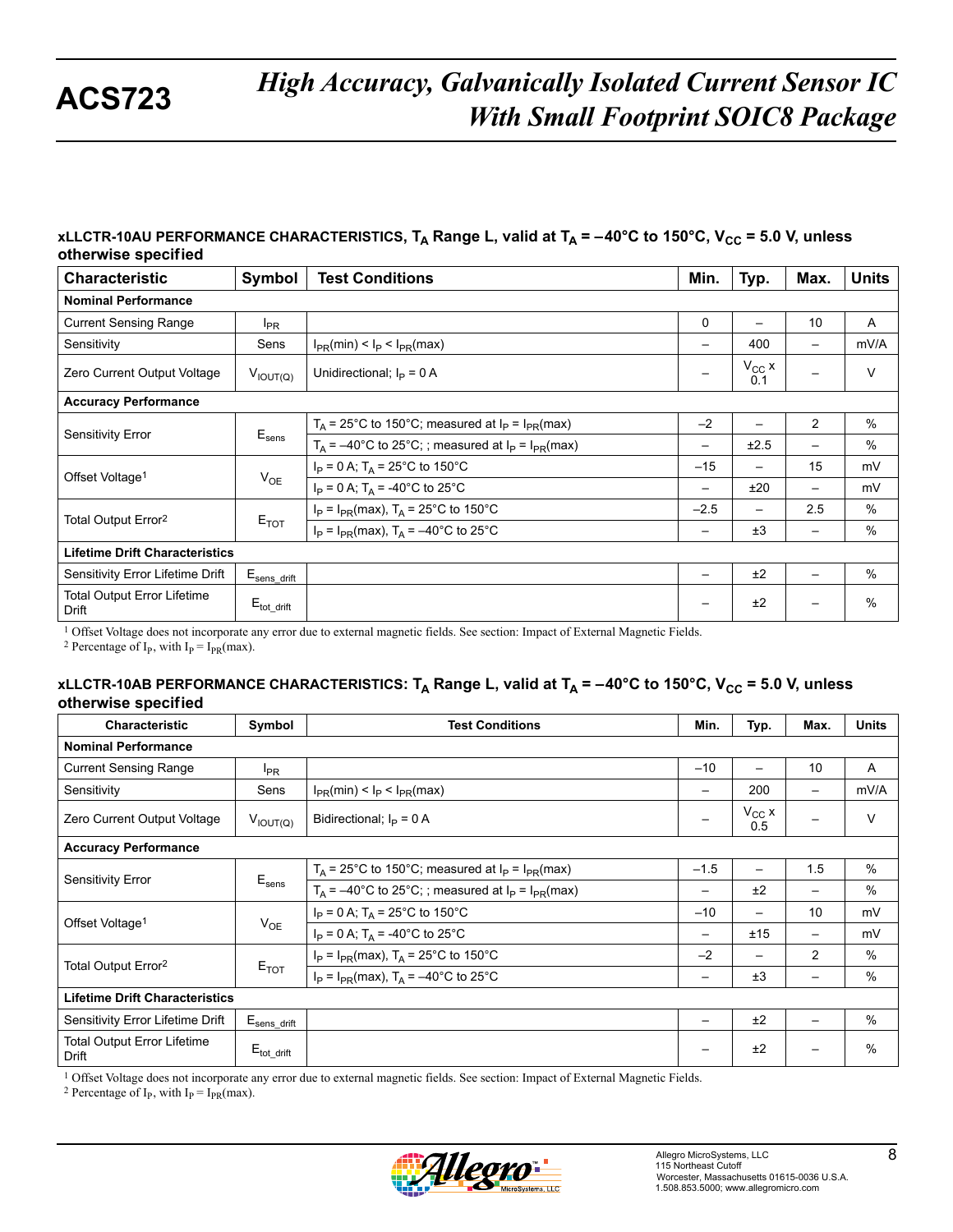#### **xLLCTR-10AU PERFORMANCE CHARACTERISTICS**,  $T_A$  Range L, valid at  $T_A = -40^{\circ}$ C to 150°C, V<sub>CC</sub> = 5.0 V, unless **otherwise specif ied**

| <b>Characteristic</b>                       | Symbol                   | <b>Test Conditions</b>                                      | Min.                     | Typ.                     | Max.                         | <b>Units</b>  |  |  |
|---------------------------------------------|--------------------------|-------------------------------------------------------------|--------------------------|--------------------------|------------------------------|---------------|--|--|
| <b>Nominal Performance</b>                  |                          |                                                             |                          |                          |                              |               |  |  |
| <b>Current Sensing Range</b>                | $I_{PR}$                 |                                                             | 0                        | $\overline{\phantom{0}}$ | 10                           | A             |  |  |
| Sensitivity                                 | Sens                     | $I_{PR}(min) < I_P < I_{PR}(max)$                           | $\qquad \qquad -$        | 400                      | $\qquad \qquad$              | mV/A          |  |  |
| Zero Current Output Voltage                 | $V_{IOUT(Q)}$            | Unidirectional; $I_P = 0$ A                                 |                          | $V_{CC}$ x<br>0.1        |                              | $\vee$        |  |  |
| <b>Accuracy Performance</b>                 |                          |                                                             |                          |                          |                              |               |  |  |
|                                             | $E_{\text{sens}}$        | $T_A$ = 25°C to 150°C; measured at $I_P$ = $I_{PR}$ (max)   | $-2$                     |                          | 2                            | $\frac{0}{0}$ |  |  |
| Sensitivity Error                           |                          | $T_A$ = -40°C to 25°C; ; measured at $I_P$ = $I_{PR}$ (max) | —                        | ±2.5                     | —                            | %             |  |  |
| Offset Voltage <sup>1</sup>                 |                          | $I_P = 0$ A; $T_A = 25^{\circ}$ C to 150°C                  | $-15$                    | $\overline{\phantom{0}}$ | 15                           | mV            |  |  |
|                                             | $V_{OE}$                 | $I_P = 0$ A; $T_A = -40^{\circ}$ C to 25°C                  | $\overline{\phantom{m}}$ | ±20                      | $\overline{\phantom{0}}$     | mV            |  |  |
|                                             |                          | $I_P = I_{PR}$ (max), $T_A = 25^{\circ}$ C to 150°C         | $-2.5$                   |                          | 2.5                          | $\%$          |  |  |
| Total Output Error <sup>2</sup>             | $E_{TOT}$                | $I_P = I_{PR}$ (max), $T_A = -40^{\circ}$ C to 25°C         | $\overline{\phantom{m}}$ | ±3                       | $\qquad \qquad \blacksquare$ | %             |  |  |
| <b>Lifetime Drift Characteristics</b>       |                          |                                                             |                          |                          |                              |               |  |  |
| Sensitivity Error Lifetime Drift            | $E_{\text{sens\_drift}}$ |                                                             |                          | ±2                       | $\qquad \qquad$              | $\%$          |  |  |
| <b>Total Output Error Lifetime</b><br>Drift | $E_{\text{tot\_drift}}$  |                                                             | —                        | ±2                       |                              | %             |  |  |

1 Offset Voltage does not incorporate any error due to external magnetic fields. See section: Impact of External Magnetic Fields.

<sup>2</sup> Percentage of I<sub>P</sub>, with I<sub>P</sub> = I<sub>PR</sub>(max).

#### **xLLCTR-10AB PERFORMANCE CHARACTERISTICS:** T<sub>A</sub> Range L, valid at T<sub>A</sub> = -40°C to 150°C, V<sub>CC</sub> = 5.0 V, unless **otherwise specif ied**

| <b>Characteristic</b>                       | Symbol                 | <b>Test Conditions</b>                                      | Min.                     | Typ.                     | Max.                     | <b>Units</b>  |  |  |  |
|---------------------------------------------|------------------------|-------------------------------------------------------------|--------------------------|--------------------------|--------------------------|---------------|--|--|--|
| <b>Nominal Performance</b>                  |                        |                                                             |                          |                          |                          |               |  |  |  |
| <b>Current Sensing Range</b>                | $I_{PR}$               |                                                             | $-10$                    |                          | 10                       | A             |  |  |  |
| Sensitivity                                 | Sens                   | $I_{PR}(min) < I_P < I_{PR}(max)$                           | —                        | 200                      | $\overline{\phantom{0}}$ | mV/A          |  |  |  |
| Zero Current Output Voltage                 | $V_{IOUT(Q)}$          | Bidirectional; $I_P = 0$ A                                  |                          | $V_{CC}$ x<br>0.5        |                          | V             |  |  |  |
| <b>Accuracy Performance</b>                 |                        |                                                             |                          |                          |                          |               |  |  |  |
| <b>Sensitivity Error</b>                    | $E_{\text{sens}}$      | $T_A$ = 25°C to 150°C; measured at $I_P$ = $I_{PR}$ (max)   | $-1.5$                   | $\overline{\phantom{0}}$ | 1.5                      | $\%$          |  |  |  |
|                                             |                        | $T_A$ = -40°C to 25°C; ; measured at $I_P$ = $I_{PR}$ (max) | —                        | ±2                       | $\qquad \qquad$          | $\%$          |  |  |  |
|                                             | $V_{OE}$               | $I_P = 0$ A; $T_A = 25^{\circ}$ C to 150°C                  | $-10$                    | —                        | 10                       | mV            |  |  |  |
| Offset Voltage <sup>1</sup>                 |                        | $I_P = 0$ A; $T_A = -40^{\circ}$ C to 25°C                  | $\overline{\phantom{m}}$ | ±15                      | $\qquad \qquad -$        | mV            |  |  |  |
|                                             |                        | $I_P = I_{PR}$ (max), $T_A = 25^{\circ}$ C to 150°C         | $-2$                     | $\overline{\phantom{0}}$ | 2                        | $\%$          |  |  |  |
| Total Output Error <sup>2</sup>             | $E_{TOT}$              | $I_P = I_{PR}$ (max), $T_A = -40^{\circ}$ C to 25°C         | —                        | ±3                       | $\overline{\phantom{0}}$ | $\%$          |  |  |  |
| <b>Lifetime Drift Characteristics</b>       |                        |                                                             |                          |                          |                          |               |  |  |  |
| Sensitivity Error Lifetime Drift            | $E_{\sf sens\_drift}$  |                                                             | —                        | ±2                       | $\overline{\phantom{0}}$ | $\frac{0}{0}$ |  |  |  |
| <b>Total Output Error Lifetime</b><br>Drift | $E_{\text{tot drift}}$ |                                                             | —                        | ±2                       |                          | $\frac{0}{0}$ |  |  |  |

1 Offset Voltage does not incorporate any error due to external magnetic fields. See section: Impact of External Magnetic Fields.

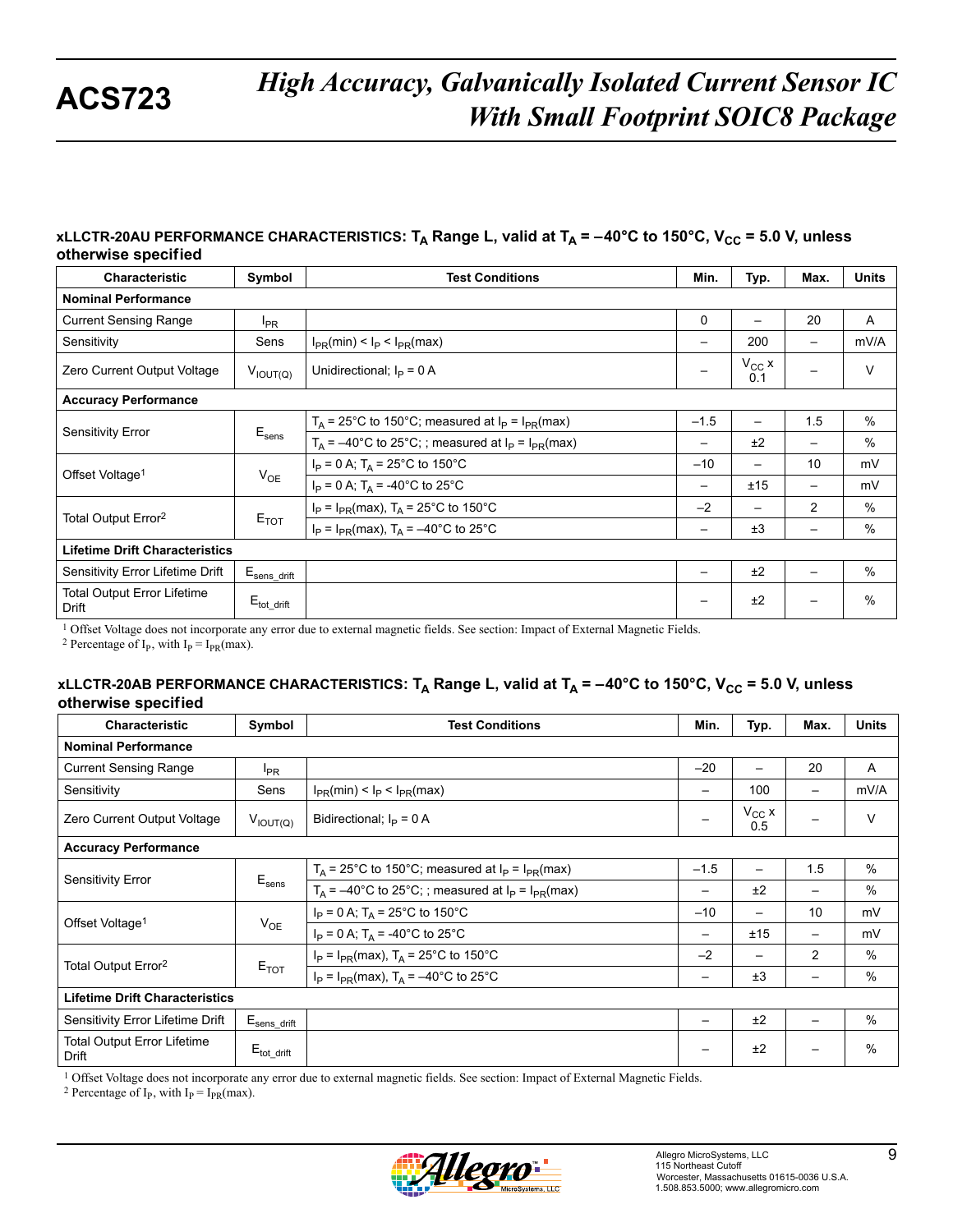#### **xLLCTR-20AU PERFORMANCE CHARACTERISTICS:** T<sub>A</sub> Range L, valid at T<sub>A</sub> = -40°C to 150°C, V<sub>CC</sub> = 5.0 V, unless **otherwise specif ied**

| Characteristic                              | Symbol                   | <b>Test Conditions</b>                                      | Min.                     | Typ.                     | Max.              | <b>Units</b> |
|---------------------------------------------|--------------------------|-------------------------------------------------------------|--------------------------|--------------------------|-------------------|--------------|
| <b>Nominal Performance</b>                  |                          |                                                             |                          |                          |                   |              |
| <b>Current Sensing Range</b>                | $I_{PR}$                 |                                                             | $\Omega$                 | $\overline{\phantom{m}}$ | 20                | A            |
| Sensitivity                                 | Sens                     | $I_{PR}(min) < I_P < I_{PR}(max)$                           | $\overline{\phantom{m}}$ | 200                      | $\qquad \qquad -$ | mV/A         |
| Zero Current Output Voltage                 | $V_{IOUT(Q)}$            | Unidirectional; $I_{\rm p} = 0$ A                           | —                        | $V_{CC}$ x<br>0.1        |                   | V            |
| <b>Accuracy Performance</b>                 |                          |                                                             |                          |                          |                   |              |
|                                             | $E_{\text{sens}}$        | $T_A$ = 25°C to 150°C; measured at $I_P$ = $I_{PR}$ (max)   | $-1.5$                   |                          | 1.5               | $\%$         |
| Sensitivity Error                           |                          | $T_A$ = -40°C to 25°C; ; measured at $I_P$ = $I_{PR}$ (max) | -                        | ±2                       | -                 | $\%$         |
|                                             | $V_{OE}$                 | $I_P = 0$ A; $T_A = 25^{\circ}$ C to 150°C                  | $-10$                    | —                        | 10                | mV           |
| Offset Voltage <sup>1</sup>                 |                          | $I_P = 0$ A; $T_A = -40^{\circ}$ C to 25°C                  | $\overline{\phantom{m}}$ | ±15                      | $\qquad \qquad -$ | mV           |
|                                             | $E_{TOT}$                | $I_P = I_{PR}$ (max), $T_A = 25^{\circ}$ C to 150°C         | $-2$                     |                          | $\overline{2}$    | $\%$         |
| Total Output Error <sup>2</sup>             |                          | $I_P = I_{PR}(max)$ , $T_A = -40^{\circ}C$ to 25°C          | -                        | ±3                       | -                 | %            |
| <b>Lifetime Drift Characteristics</b>       |                          |                                                             |                          |                          |                   |              |
| Sensitivity Error Lifetime Drift            | $E_{\text{sens\_drift}}$ |                                                             | —                        | ±2                       |                   | $\%$         |
| <b>Total Output Error Lifetime</b><br>Drift | $E_{\text{tot drift}}$   |                                                             | —                        | ±2                       |                   | %            |

1 Offset Voltage does not incorporate any error due to external magnetic fields. See section: Impact of External Magnetic Fields.

<sup>2</sup> Percentage of I<sub>p</sub>, with I<sub>p</sub> = I<sub>PR</sub>(max).

#### **xLLCTR-20AB PERFORMANCE CHARACTERISTICS:** T<sub>A</sub> Range L, valid at T<sub>A</sub> = -40°C to 150°C, V<sub>CC</sub> = 5.0 V, unless **otherwise specif ied**

| <b>Characteristic</b>                       | Symbol                   | <b>Test Conditions</b>                                      | Min.                     | Typ.              | Max.                     | <b>Units</b>  |  |  |  |
|---------------------------------------------|--------------------------|-------------------------------------------------------------|--------------------------|-------------------|--------------------------|---------------|--|--|--|
| <b>Nominal Performance</b>                  |                          |                                                             |                          |                   |                          |               |  |  |  |
| <b>Current Sensing Range</b>                | $I_{PR}$                 |                                                             | $-20$                    | —                 | 20                       | A             |  |  |  |
| Sensitivity                                 | Sens                     | $I_{PR}(min) < I_P < I_{PR}(max)$                           |                          | 100               | $\qquad \qquad$          | mV/A          |  |  |  |
| Zero Current Output Voltage                 | $V_{IOUT(Q)}$            | Bidirectional; $I_{\text{D}} = 0$ A                         | $\qquad \qquad -$        | $V_{CC}$ x<br>0.5 | —                        | V             |  |  |  |
| <b>Accuracy Performance</b>                 |                          |                                                             |                          |                   |                          |               |  |  |  |
| <b>Sensitivity Error</b>                    | $E_{\text{sens}}$        | $T_A$ = 25°C to 150°C; measured at $I_P$ = $I_{PR}$ (max)   | $-1.5$                   | —                 | 1.5                      | $\%$          |  |  |  |
|                                             |                          | $T_A$ = -40°C to 25°C; ; measured at $I_P$ = $I_{PR}$ (max) | —                        | ±2                | $\qquad \qquad$          | $\%$          |  |  |  |
|                                             | $V_{OE}$                 | $I_P = 0$ A; $T_A = 25^{\circ}$ C to 150°C                  | $-10$                    | —                 | 10                       | mV            |  |  |  |
| Offset Voltage <sup>1</sup>                 |                          | $I_P = 0$ A; $T_A = -40^{\circ}$ C to 25°C                  | $\overline{\phantom{m}}$ | ±15               | $\qquad \qquad -$        | mV            |  |  |  |
|                                             |                          | $I_P = I_{PR}$ (max), $T_A = 25^{\circ}$ C to 150°C         | $-2$                     | —                 | $\overline{2}$           | $\frac{0}{0}$ |  |  |  |
| Total Output Error <sup>2</sup>             | $E_{TOT}$                | $I_P = I_{PR}$ (max), $T_A = -40^{\circ}$ C to 25°C         | —                        | ±3                | $\overline{\phantom{m}}$ | $\%$          |  |  |  |
| <b>Lifetime Drift Characteristics</b>       |                          |                                                             |                          |                   |                          |               |  |  |  |
| Sensitivity Error Lifetime Drift            | $E_{\text{sens\_drift}}$ |                                                             | —                        | ±2                | $\qquad \qquad$          | $\frac{0}{0}$ |  |  |  |
| <b>Total Output Error Lifetime</b><br>Drift | $E_{\text{tot drift}}$   |                                                             | -                        | ±2                |                          | $\frac{0}{0}$ |  |  |  |

1 Offset Voltage does not incorporate any error due to external magnetic fields. See section: Impact of External Magnetic Fields.

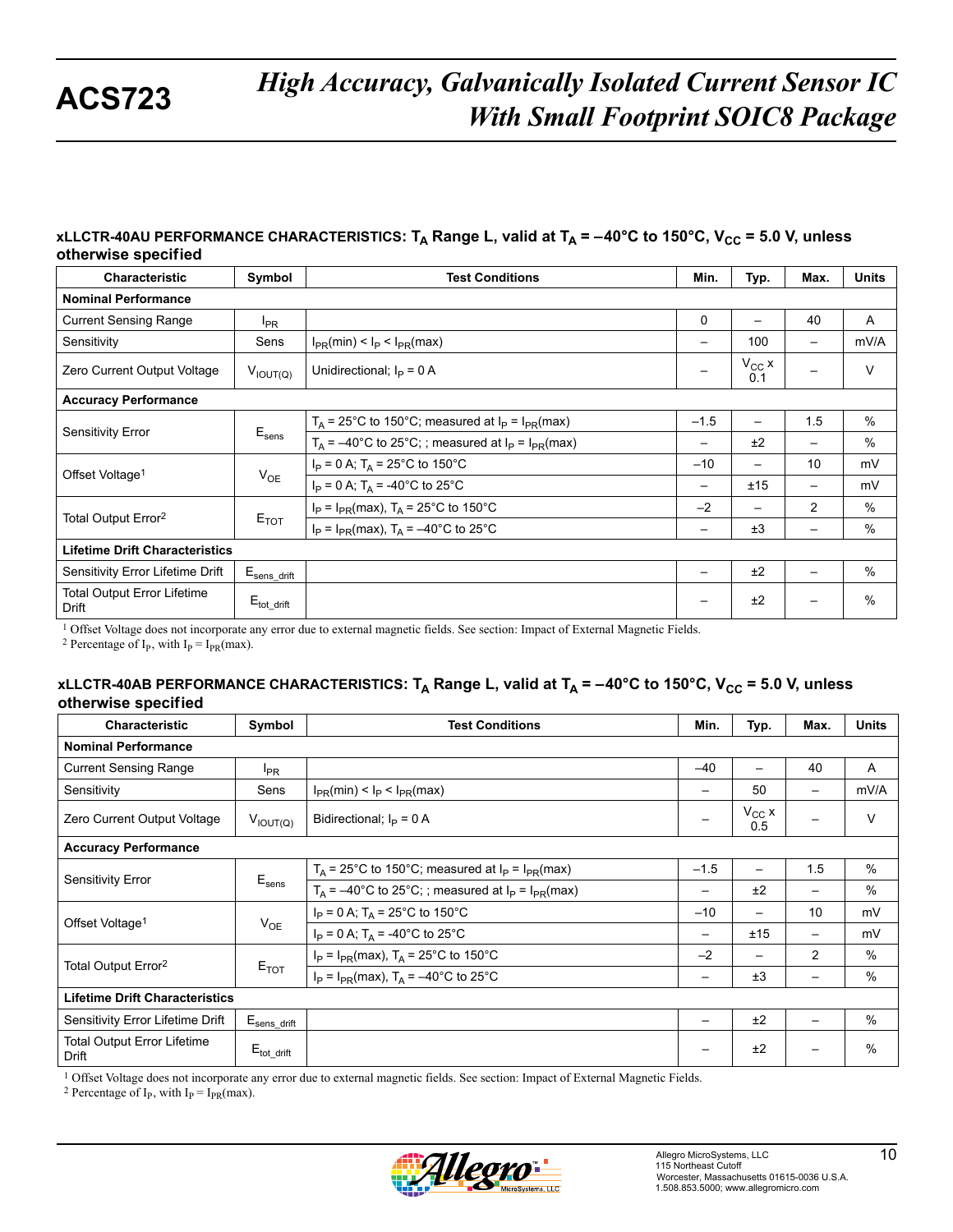#### xLLCTR-40AU PERFORMANCE CHARACTERISTICS: T<sub>A</sub> Range L, valid at T<sub>A</sub> = -40°C to 150°C, V<sub>CC</sub> = 5.0 V, unless **otherwise specif ied**

| Characteristic                              | Symbol                   | <b>Test Conditions</b>                                      | Min.                     | Typ.                     | Max.              | <b>Units</b> |
|---------------------------------------------|--------------------------|-------------------------------------------------------------|--------------------------|--------------------------|-------------------|--------------|
| <b>Nominal Performance</b>                  |                          |                                                             |                          |                          |                   |              |
| <b>Current Sensing Range</b>                | $I_{PR}$                 |                                                             | $\Omega$                 | $\overline{\phantom{m}}$ | 40                | A            |
| Sensitivity                                 | Sens                     | $I_{PR}(min) < I_P < I_{PR}(max)$                           | $\overline{\phantom{m}}$ | 100                      | $\qquad \qquad -$ | mV/A         |
| Zero Current Output Voltage                 | $V_{IOUT(Q)}$            | Unidirectional; $I_{\rm p} = 0$ A                           | —                        | $V_{CC}$ x<br>0.1        |                   | V            |
| <b>Accuracy Performance</b>                 |                          |                                                             |                          |                          |                   |              |
|                                             | $E_{\text{sens}}$        | $T_A$ = 25°C to 150°C; measured at $I_P$ = $I_{PR}$ (max)   | $-1.5$                   |                          | 1.5               | $\%$         |
| Sensitivity Error                           |                          | $T_A$ = -40°C to 25°C; ; measured at $I_P$ = $I_{PR}$ (max) | -                        | ±2                       | -                 | $\%$         |
|                                             | $V_{OE}$                 | $I_P = 0$ A; $T_A = 25^{\circ}$ C to 150°C                  | $-10$                    | —                        | 10                | mV           |
| Offset Voltage <sup>1</sup>                 |                          | $I_P = 0$ A; $T_A = -40^{\circ}$ C to 25°C                  | $\overline{\phantom{m}}$ | ±15                      | $\qquad \qquad -$ | mV           |
|                                             |                          | $I_P = I_{PR}$ (max), $T_A = 25^{\circ}$ C to 150°C         | $-2$                     |                          | $\overline{2}$    | $\%$         |
| Total Output Error <sup>2</sup>             | $E_{TOT}$                | $I_P = I_{PR}(max)$ , $T_A = -40^{\circ}C$ to 25°C          | -                        | ±3                       | -                 | %            |
| <b>Lifetime Drift Characteristics</b>       |                          |                                                             |                          |                          |                   |              |
| Sensitivity Error Lifetime Drift            | $E_{\text{sens\_drift}}$ |                                                             | —                        | ±2                       |                   | $\%$         |
| <b>Total Output Error Lifetime</b><br>Drift | $E_{\text{tot drift}}$   |                                                             | —                        | ±2                       |                   | %            |

1 Offset Voltage does not incorporate any error due to external magnetic fields. See section: Impact of External Magnetic Fields.

<sup>2</sup> Percentage of I<sub>p</sub>, with I<sub>p</sub> = I<sub>PR</sub>(max).

#### **xLLCTR-40AB PERFORMANCE CHARACTERISTICS:** T<sub>A</sub> Range L, valid at T<sub>A</sub> = -40°C to 150°C, V<sub>CC</sub> = 5.0 V, unless **otherwise specif ied**

| <b>Characteristic</b>                       | Symbol                   | <b>Test Conditions</b>                                      | Min.                     | Typ.              | Max.                     | <b>Units</b>  |  |  |  |
|---------------------------------------------|--------------------------|-------------------------------------------------------------|--------------------------|-------------------|--------------------------|---------------|--|--|--|
| <b>Nominal Performance</b>                  |                          |                                                             |                          |                   |                          |               |  |  |  |
| <b>Current Sensing Range</b>                | $I_{PR}$                 |                                                             | $-40$                    | —                 | 40                       | A             |  |  |  |
| Sensitivity                                 | Sens                     | $I_{PR}(min) < I_P < I_{PR}(max)$                           | —                        | 50                | $\overline{\phantom{0}}$ | mV/A          |  |  |  |
| Zero Current Output Voltage                 | $V_{IOUT(Q)}$            | Bidirectional; $I_{\text{D}} = 0$ A                         | $\qquad \qquad -$        | $V_{CC}$ x<br>0.5 | —                        | V             |  |  |  |
| <b>Accuracy Performance</b>                 |                          |                                                             |                          |                   |                          |               |  |  |  |
| <b>Sensitivity Error</b>                    | $E_{\text{sens}}$        | $T_A$ = 25°C to 150°C; measured at $I_P$ = $I_{PR}$ (max)   | $-1.5$                   | —                 | 1.5                      | $\%$          |  |  |  |
|                                             |                          | $T_A$ = -40°C to 25°C; ; measured at $I_P$ = $I_{PR}$ (max) | —                        | ±2                | $\qquad \qquad$          | $\%$          |  |  |  |
| Offset Voltage <sup>1</sup>                 | $V_{OE}$                 | $I_P = 0$ A; $T_A = 25^{\circ}$ C to 150°C                  | $-10$                    | —                 | 10                       | mV            |  |  |  |
|                                             |                          | $I_P = 0$ A; $T_A = -40^{\circ}$ C to 25°C                  | $\overline{\phantom{0}}$ | ±15               | $\qquad \qquad -$        | mV            |  |  |  |
| Total Output Error <sup>2</sup>             | $E_{TOT}$                | $I_P = I_{PR}$ (max), $T_A = 25^{\circ}$ C to 150°C         | $-2$                     | —                 | $\overline{2}$           | $\frac{0}{0}$ |  |  |  |
|                                             |                          | $I_P = I_{PR}(max)$ , $T_A = -40^{\circ}C$ to 25°C          | —                        | ±3                | $\overline{\phantom{m}}$ | $\%$          |  |  |  |
| <b>Lifetime Drift Characteristics</b>       |                          |                                                             |                          |                   |                          |               |  |  |  |
| Sensitivity Error Lifetime Drift            | $E_{\text{sens\_drift}}$ |                                                             | —                        | ±2                | $\qquad \qquad$          | $\frac{0}{0}$ |  |  |  |
| <b>Total Output Error Lifetime</b><br>Drift | $E_{\text{tot drift}}$   |                                                             | -                        | ±2                |                          | $\frac{0}{0}$ |  |  |  |

1 Offset Voltage does not incorporate any error due to external magnetic fields. See section: Impact of External Magnetic Fields.

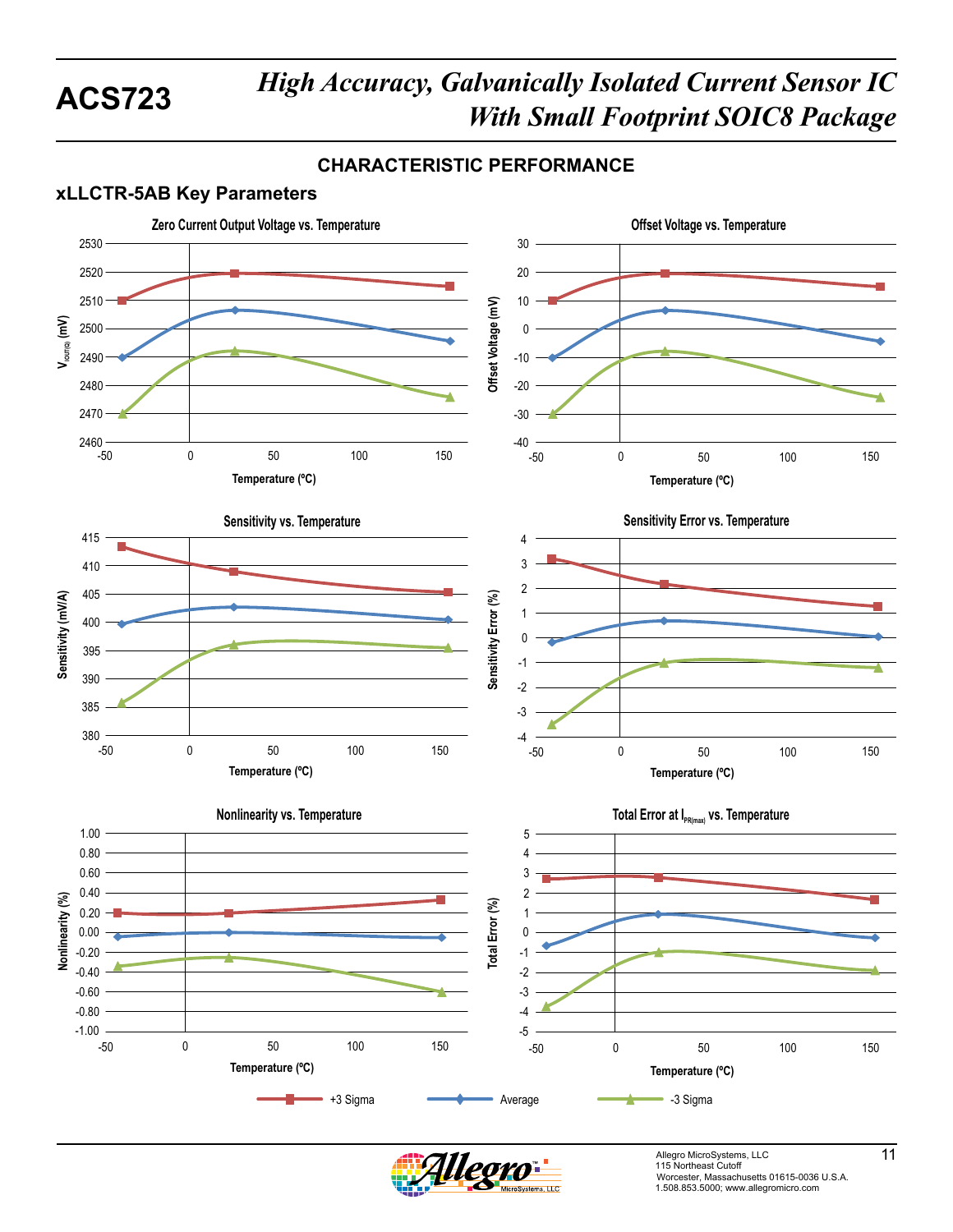## **CHARACTERISTIC PERFORMANCE**

## **xLLCTR-5AB Key Parameters**



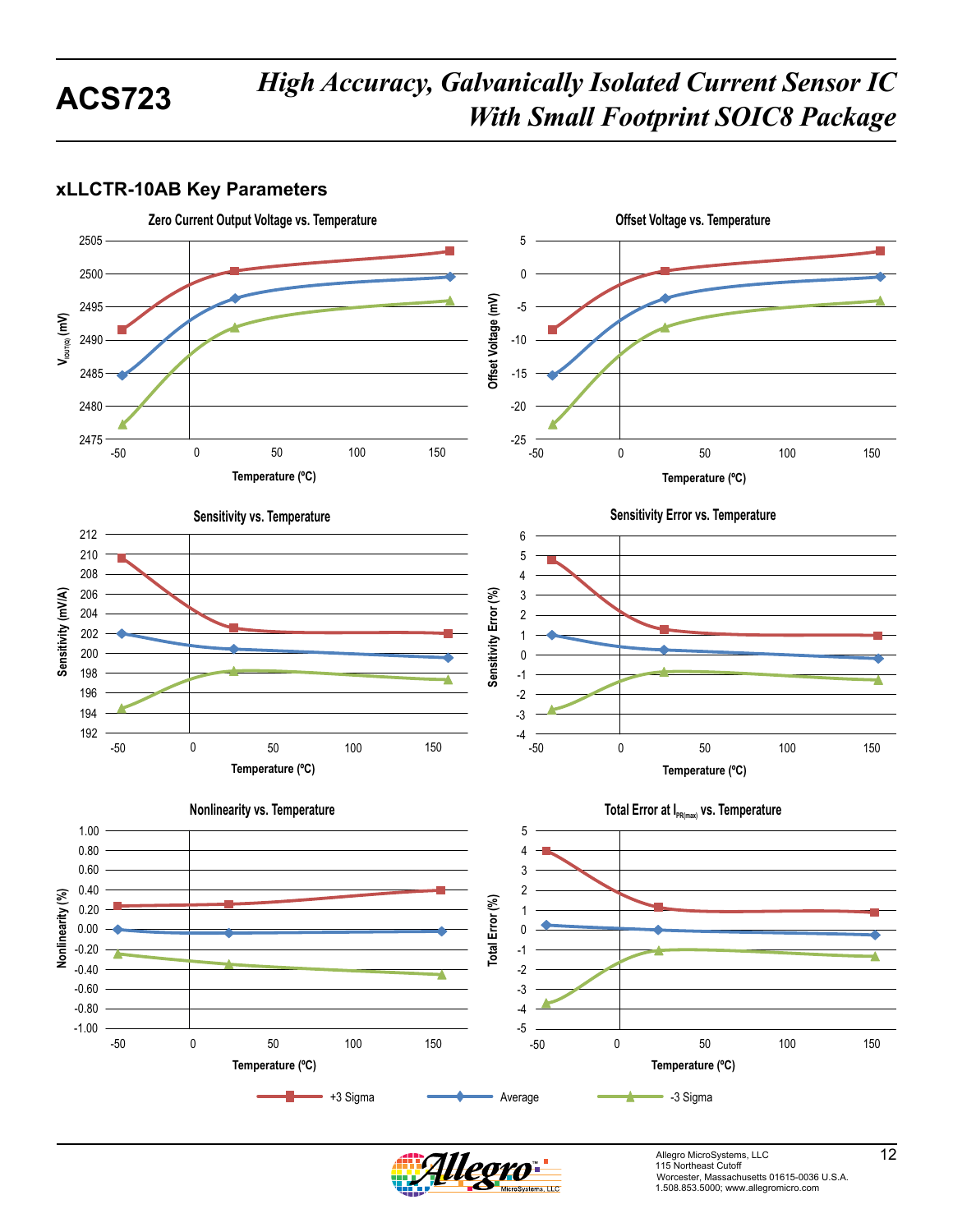## **xLLCTR-10AB Key Parameters**





Allegro MicroSystems, LLC 12 12 Worcester, Massachusetts 01615-0036 U.S.A. 1.508.853.5000; www.allegromicro.com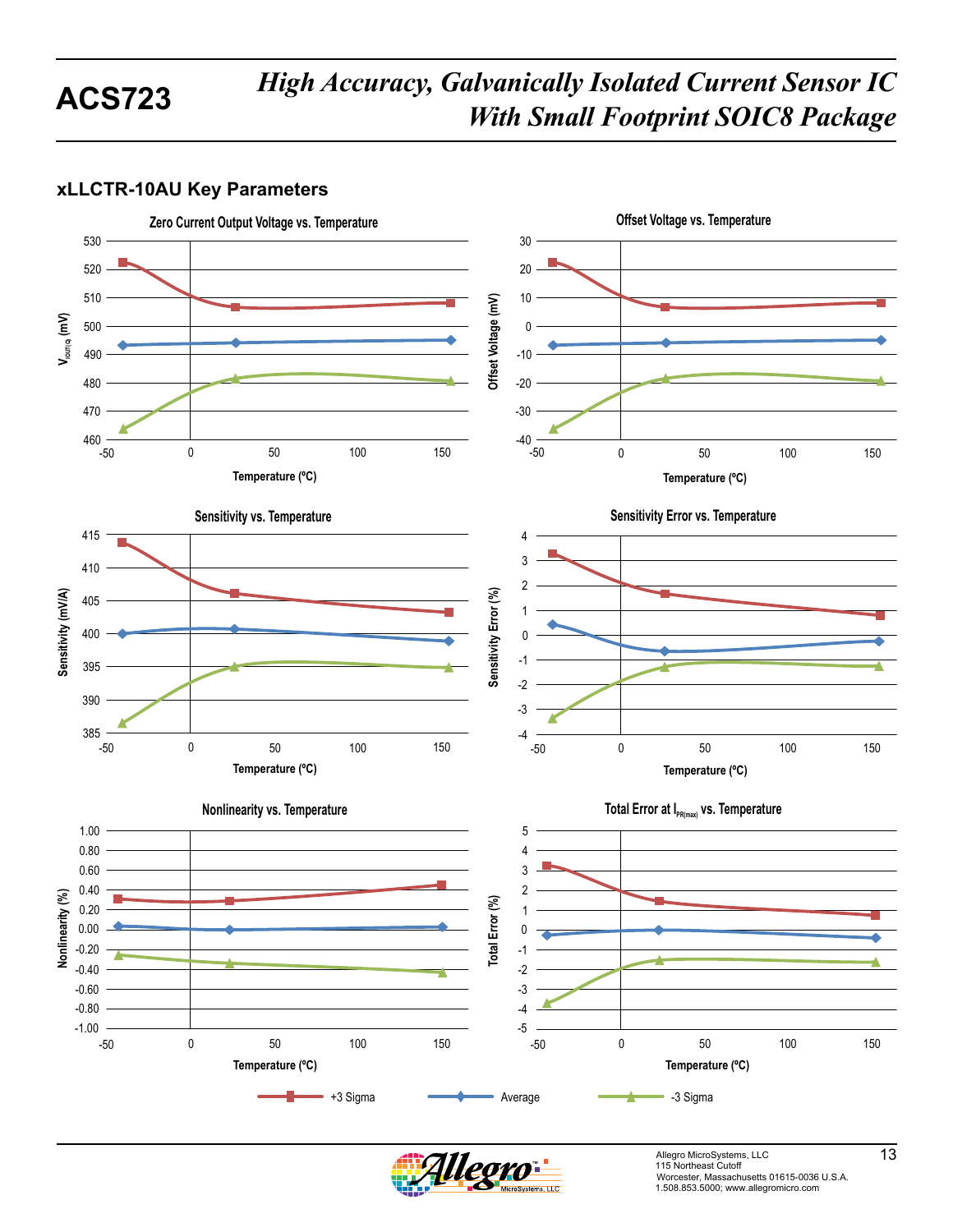### **xLLCTR-10AU Key Parameters**





Allegro MicroSystems, LLC 13<br>115 Northeast Cutoff Worcester, Massachusetts 01615-0036 U.S.A. 1.508.853.5000; www.allegromicro.com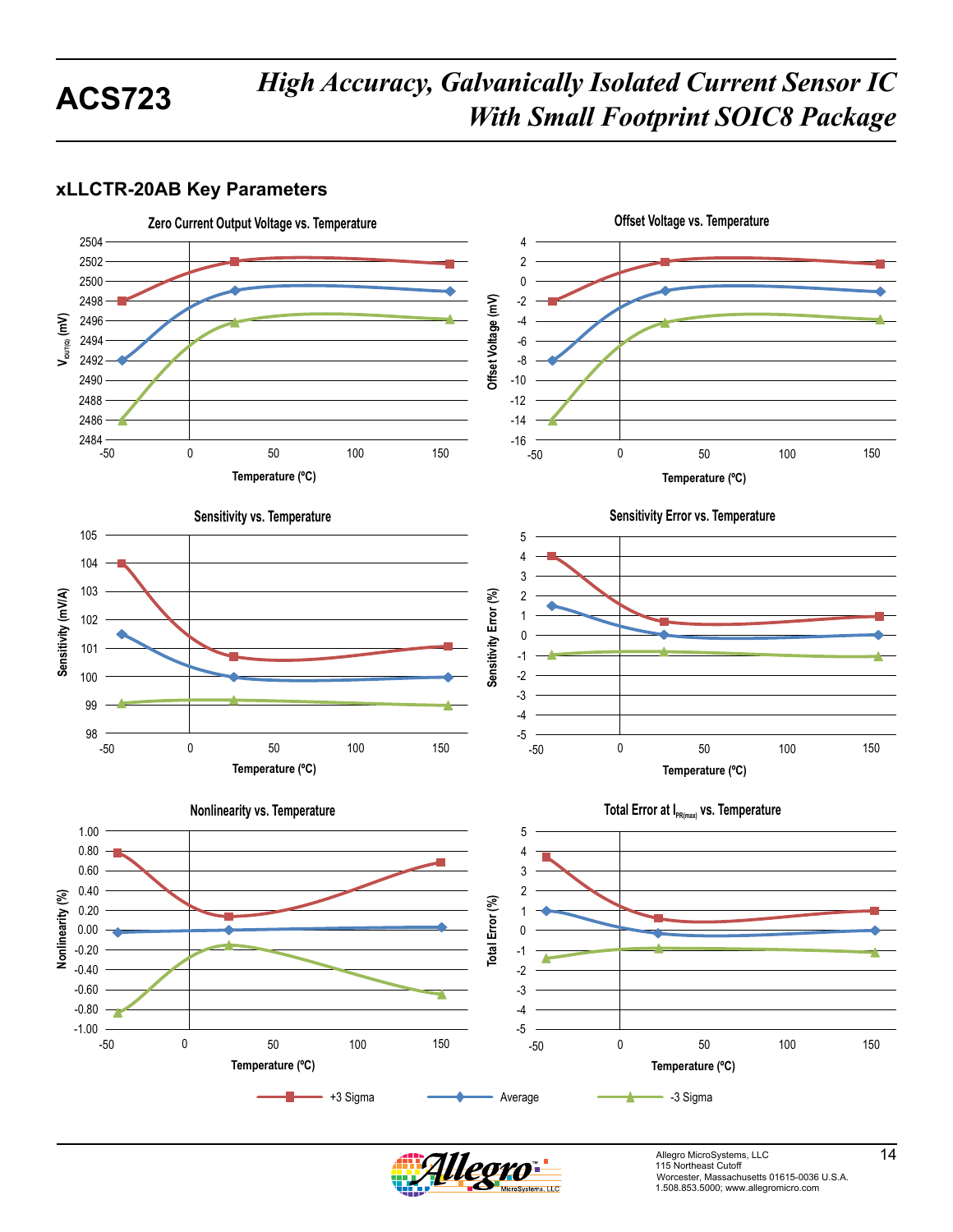### **xLLCTR-20AB Key Parameters**





Allegro MicroSystems, LLC<br>115 Northeast Cutoff L Worcester, Massachusetts 01615-0036 U.S.A. 1.508.853.5000; www.allegromicro.com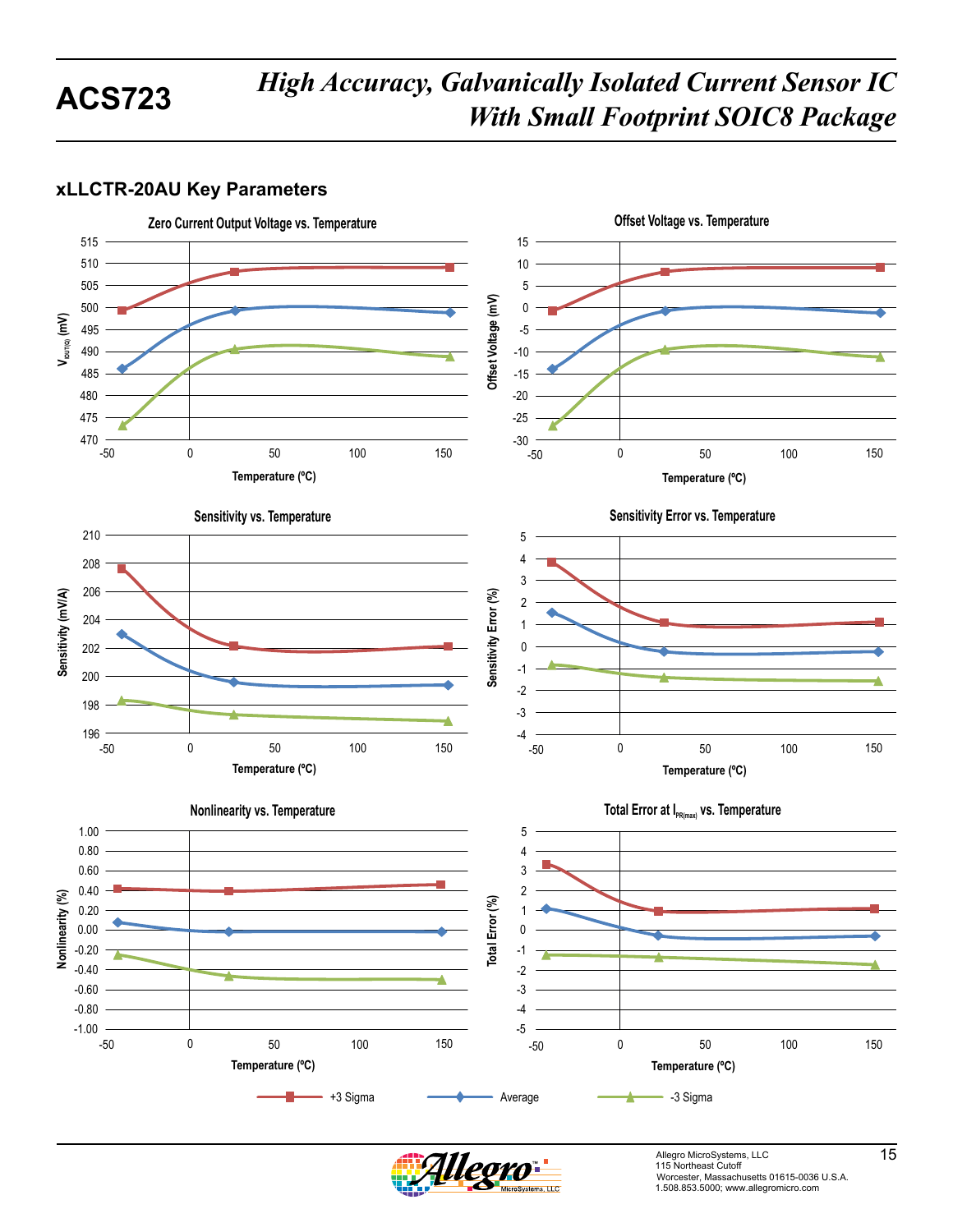### **xLLCTR-20AU Key Parameters**





Allegro MicroSystems, LLC 15<br>115 Northeast Cutoff Worcester, Massachusetts 01615-0036 U.S.A. 1.508.853.5000; www.allegromicro.com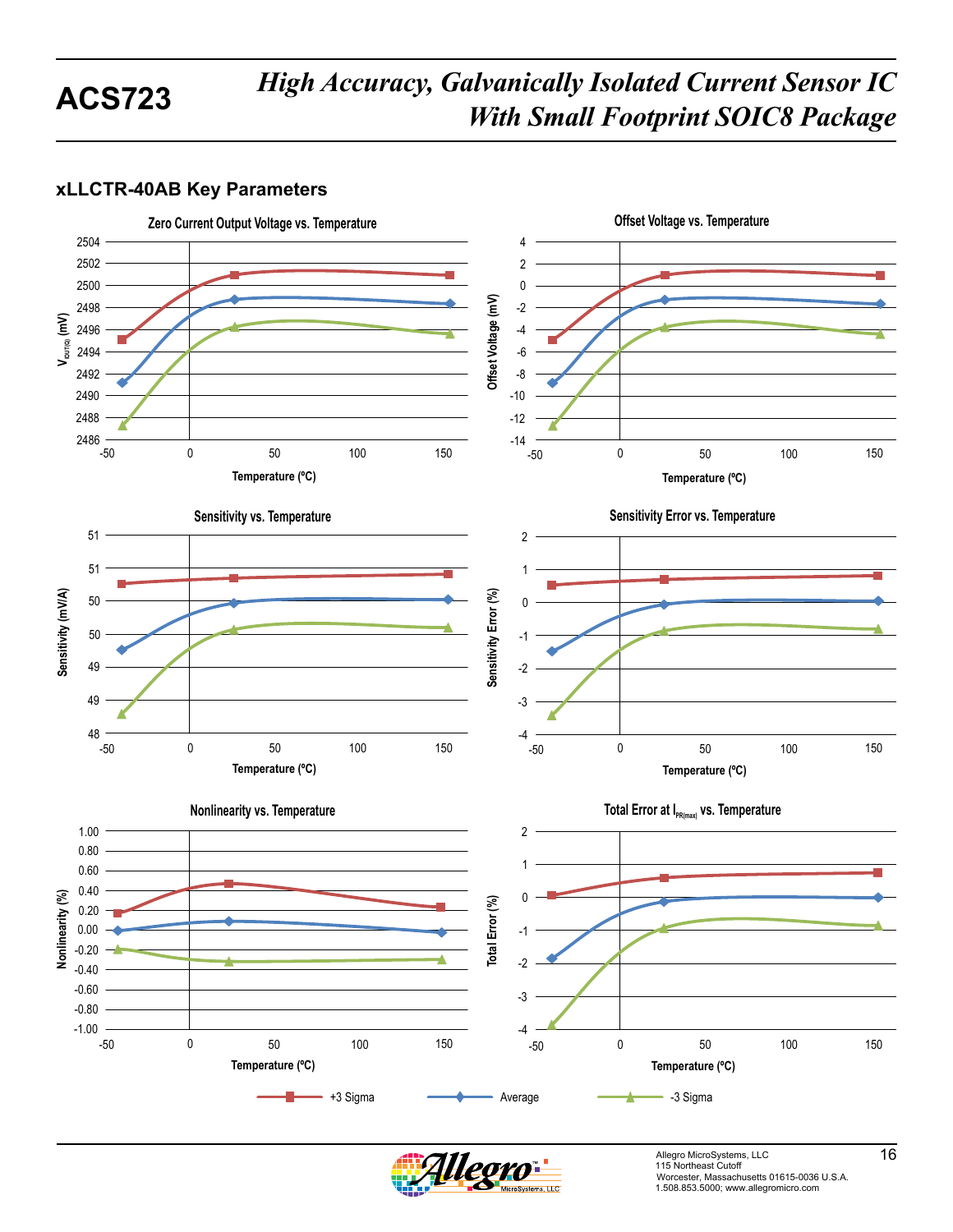## **xLLCTR-40AB Key Parameters**





Allegro MicroSystems, LLC<br>115 Northeast Cutoff Worcester, Massachusetts 01615-0036 U.S.A. 1.508.853.5000; www.allegromicro.com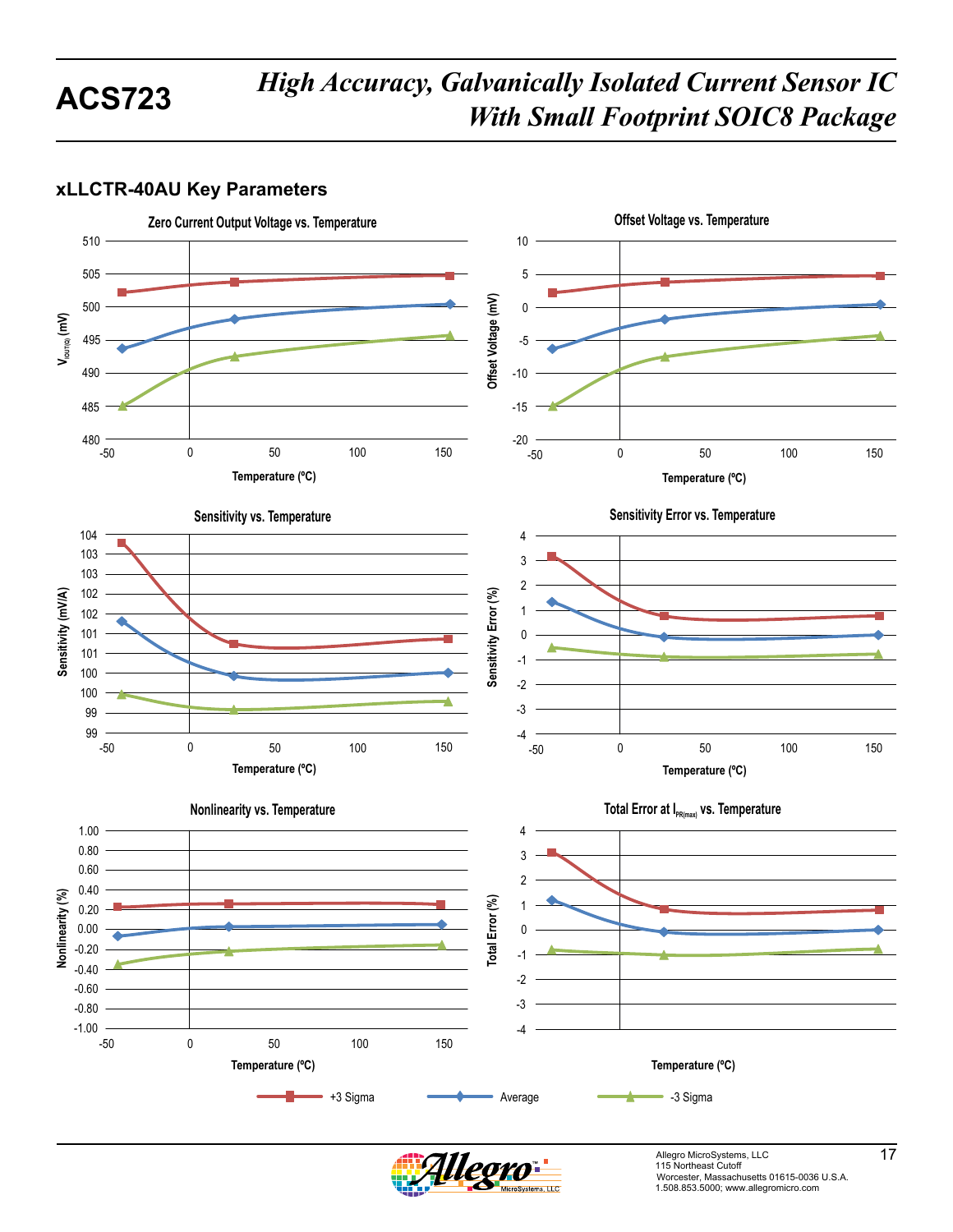## **xLLCTR-40AU Key Parameters**



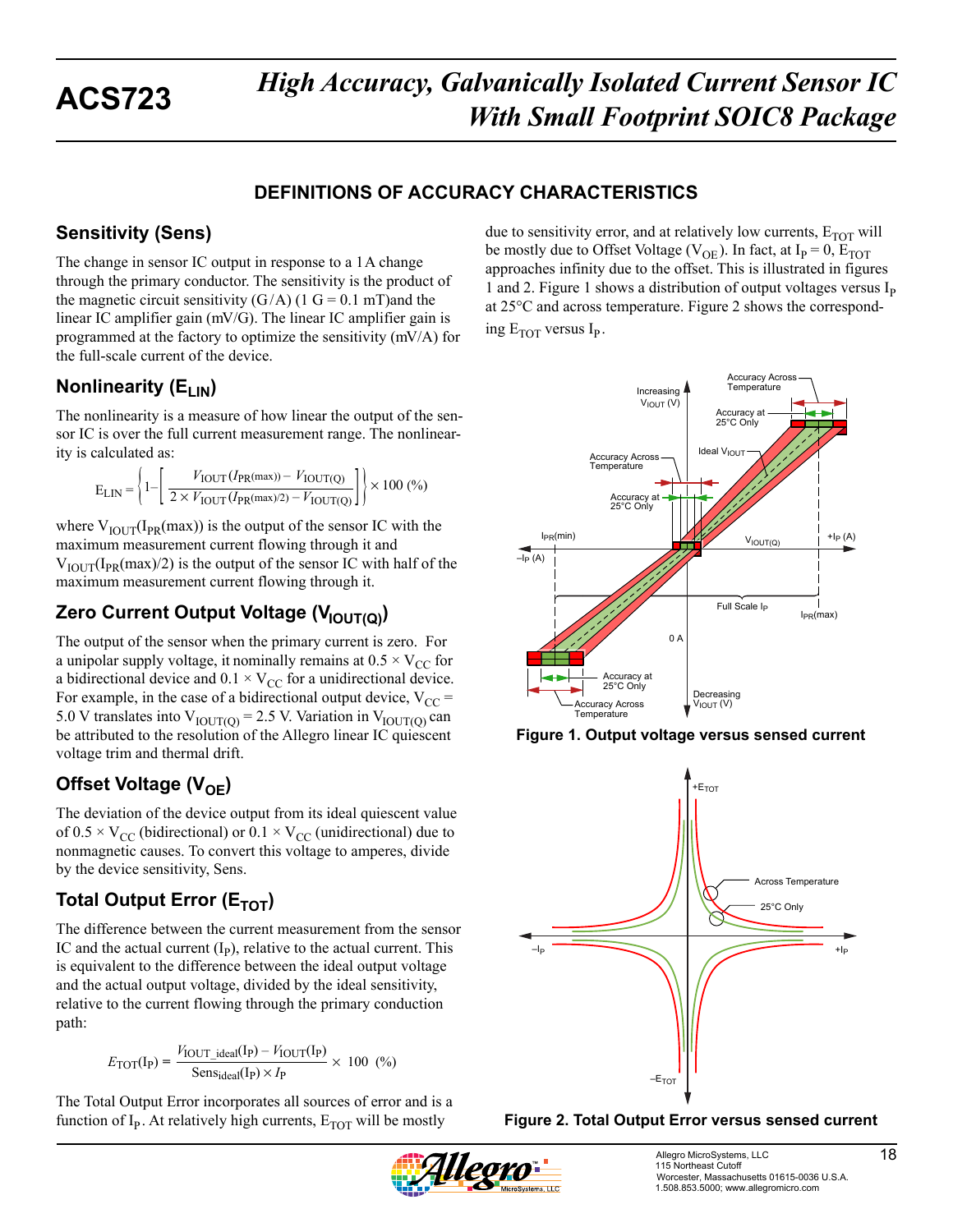## **DEFINITIONS OF ACCURACY CHARACTERISTICS**

## **Sensitivity (Sens)**

The change in sensor IC output in response to a 1A change through the primary conductor. The sensitivity is the product of the magnetic circuit sensitivity  $(G/A)$  (1 G = 0.1 mT)and the linear IC amplifier gain (mV/G). The linear IC amplifier gain is programmed at the factory to optimize the sensitivity (mV/A) for the full-scale current of the device.

## **Nonlinearity (E<sub>LIN</sub>)**

The nonlinearity is a measure of how linear the output of the sensor IC is over the full current measurement range. The nonlinearity is calculated as:

$$
E_{LIN} = \left\{1 - \left(\frac{V_{IOUT}(I_{PR}(\text{max})) - V_{IOUT(Q)}}{2 \times V_{IOUT}(I_{PR}(\text{max})/2) - V_{IOUT(Q)}}\right)\right\} \times 100\ (%)
$$

where  $V_{\text{IOUT}}(I_{PR}(max))$  is the output of the sensor IC with the maximum measurement current flowing through it and  $V_{\text{IOUT}}(I_{\text{PR}}(\text{max})/2)$  is the output of the sensor IC with half of the maximum measurement current flowing through it.

## **Zero Current Output Voltage (V<sub>IOUT(Q)</sub>)**

The output of the sensor when the primary current is zero. For a unipolar supply voltage, it nominally remains at  $0.5 \times V_{CC}$  for a bidirectional device and  $0.1 \times V_{CC}$  for a unidirectional device. For example, in the case of a bidirectional output device,  $V_{CC}$  = 5.0 V translates into  $V_{\text{IOUT(Q)}} = 2.5$  V. Variation in  $V_{\text{IOUT(Q)}}$  can be attributed to the resolution of the Allegro linear IC quiescent voltage trim and thermal drift.

## **Offset Voltage (V<sub>OF</sub>)**

The deviation of the device output from its ideal quiescent value of  $0.5 \times V_{CC}$  (bidirectional) or  $0.1 \times V_{CC}$  (unidirectional) due to nonmagnetic causes. To convert this voltage to amperes, divide by the device sensitivity, Sens.

## **Total Output Error (E<sub>TOT</sub>)**

The difference between the current measurement from the sensor IC and the actual current  $(I_p)$ , relative to the actual current. This is equivalent to the difference between the ideal output voltage and the actual output voltage, divided by the ideal sensitivity, relative to the current flowing through the primary conduction path:

$$
E_{\text{TOT}}(\text{I}_{\text{P}}) = \frac{V_{\text{IOUT}\_\text{ideal}}(\text{I}_{\text{P}}) - V_{\text{IOUT}}(\text{I}_{\text{P}})}{\text{Sens}_{\text{ideal}}(\text{I}_{\text{P}}) \times I_{\text{P}}} \times 100 \tag{%}
$$

The Total Output Error incorporates all sources of error and is a function of  $I_P$ . At relatively high currents,  $E_{TOT}$  will be mostly

due to sensitivity error, and at relatively low currents,  $E_{TOT}$  will be mostly due to Offset Voltage ( $V_{OE}$ ). In fact, at I<sub>P</sub> = 0, E<sub>TOT</sub> approaches infinity due to the offset. This is illustrated in figures 1 and 2. Figure 1 shows a distribution of output voltages versus  $I<sub>p</sub>$ at 25°C and across temperature. Figure 2 shows the corresponding  $E_{TOT}$  versus  $I_{P}$ .



**Figure 1. Output voltage versus sensed current** 





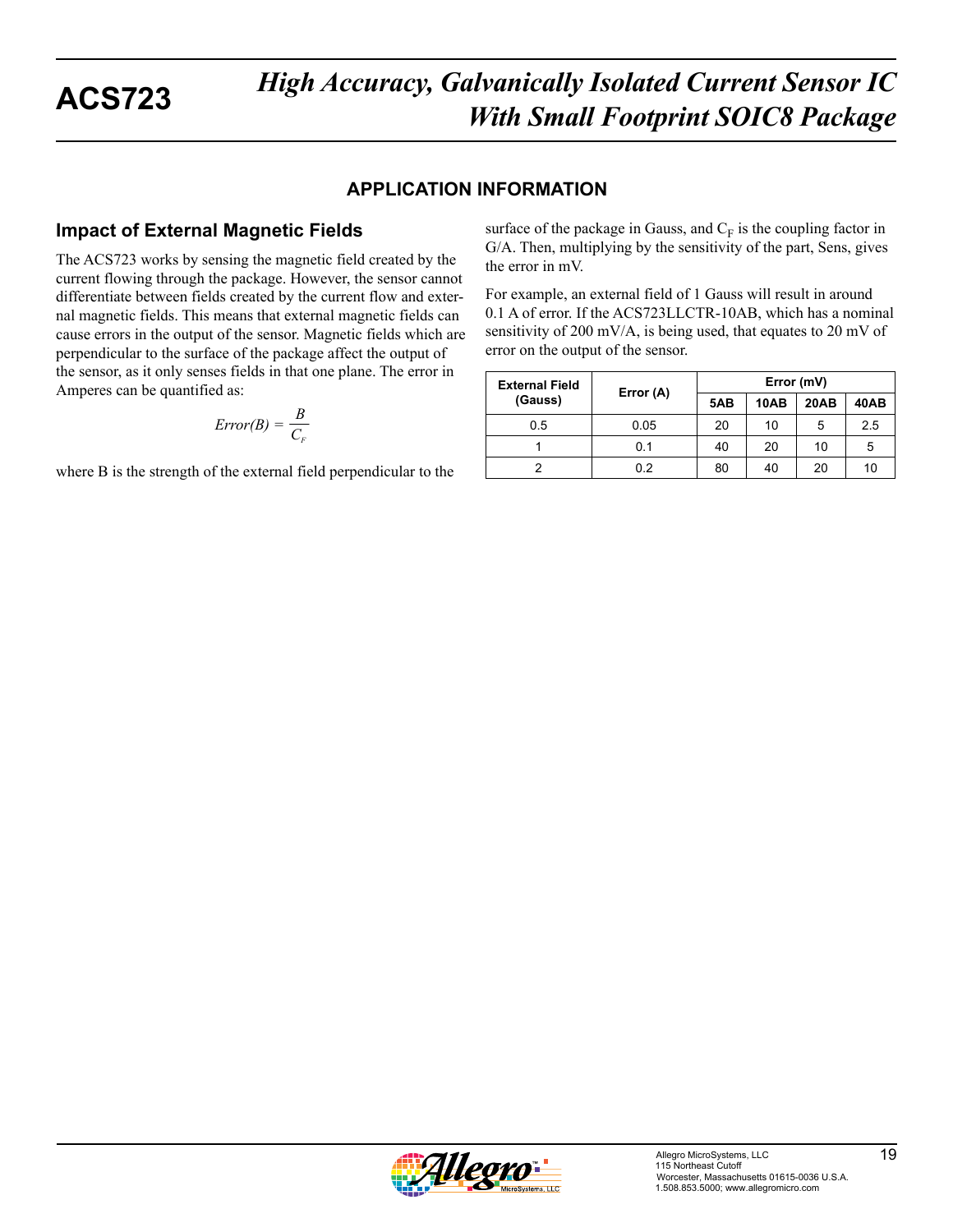### **APPLICATION INFORMATION**

## **Impact of External Magnetic Fields**

The ACS723 works by sensing the magnetic field created by the current flowing through the package. However, the sensor cannot differentiate between fields created by the current flow and external magnetic fields. This means that external magnetic fields can cause errors in the output of the sensor. Magnetic fields which are perpendicular to the surface of the package affect the output of the sensor, as it only senses fields in that one plane. The error in Amperes can be quantified as:

$$
Error(B) = \frac{B}{C_F}
$$

where B is the strength of the external field perpendicular to the

surface of the package in Gauss, and  $C_F$  is the coupling factor in G/A. Then, multiplying by the sensitivity of the part, Sens, gives the error in mV.

For example, an external field of 1 Gauss will result in around 0.1 A of error. If the ACS723LLCTR-10AB, which has a nominal sensitivity of 200 mV/A, is being used, that equates to 20 mV of error on the output of the sensor.

| <b>External Field</b> | Error (A) | Error (mV) |      |             |      |
|-----------------------|-----------|------------|------|-------------|------|
| (Gauss)               |           | 5AB        | 10AB | <b>20AB</b> | 40AB |
| 0.5                   | 0.05      | 20         | 10   | 5           | 2.5  |
|                       | 0.1       | 40         | 20   | 10          | 5    |
|                       | 0.2       | 80         | 40   | 20          | 10   |

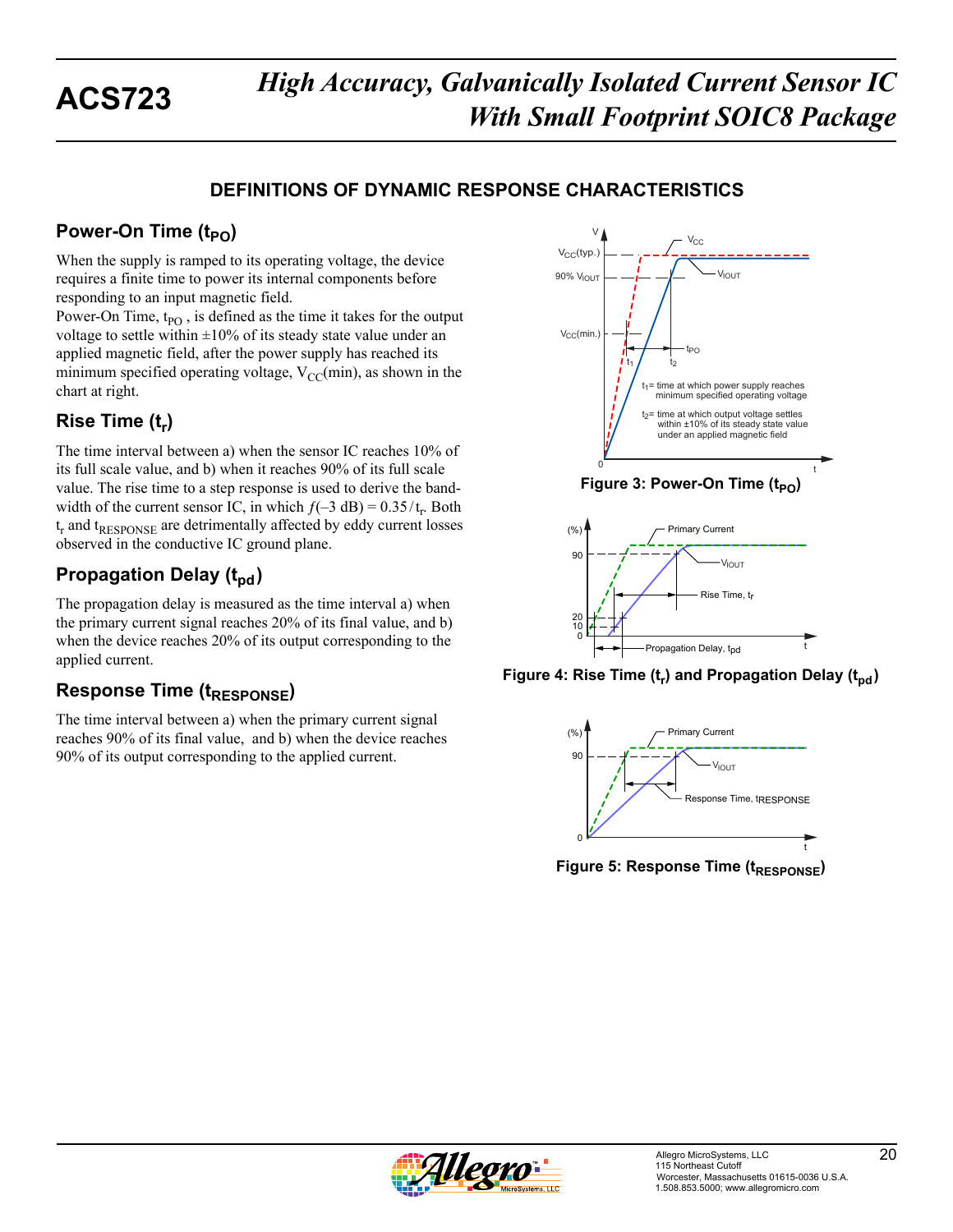## **DEFINITIONS OF DYNAMIC RESPONSE CHARACTERISTICS**

## **Power-On Time (t<sub>PO</sub>)**

When the supply is ramped to its operating voltage, the device requires a finite time to power its internal components before responding to an input magnetic field.

Power-On Time,  $t_{PO}$ , is defined as the time it takes for the output voltage to settle within  $\pm 10\%$  of its steady state value under an applied magnetic field, after the power supply has reached its minimum specified operating voltage,  $V_{CC}(min)$ , as shown in the chart at right.

## **Rise Time (t<sub>r</sub>)**

The time interval between a) when the sensor IC reaches 10% of its full scale value, and b) when it reaches 90% of its full scale value. The rise time to a step response is used to derive the bandwidth of the current sensor IC, in which  $f(-3 dB) = 0.35/t_r$ . Both  $t_r$  and  $t_{RESPONSE}$  are detrimentally affected by eddy current losses observed in the conductive IC ground plane.

## **Propagation Delay (t<sub>pd</sub>)**

The propagation delay is measured as the time interval a) when the primary current signal reaches 20% of its final value, and b) when the device reaches 20% of its output corresponding to the applied current.

## **Response Time (t<sub>RESPONSE</sub>)**

The time interval between a) when the primary current signal reaches 90% of its final value, and b) when the device reaches 90% of its output corresponding to the applied current.



**Figure 4: Rise Time (t<sub>r</sub>) and Propagation Delay (t<sub>nd</sub>)** 



**Figure 5: Response Time (tRESPONSE)** 

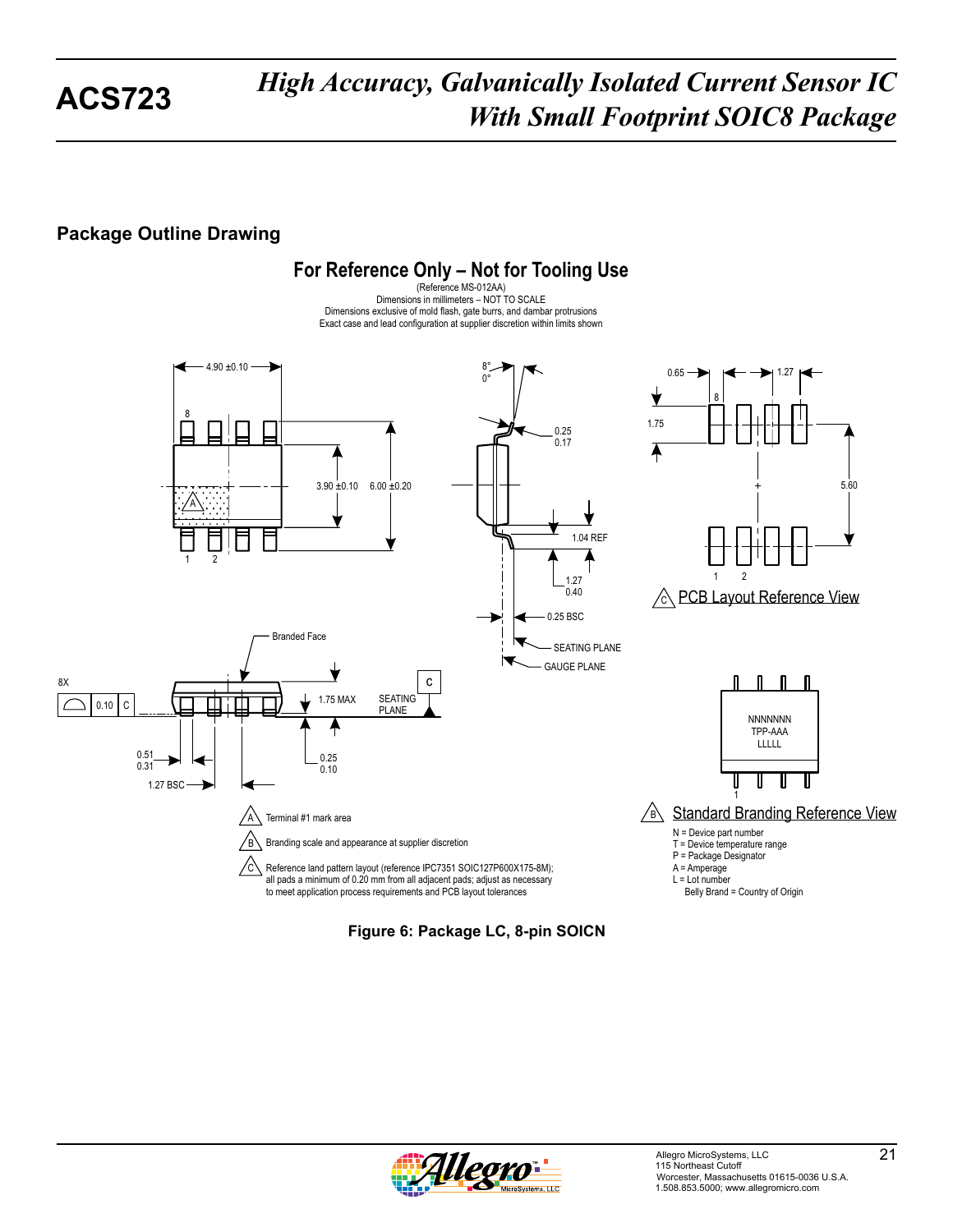## **Package Outline Drawing**



**Figure 6: Package LC, 8-pin SOICN**